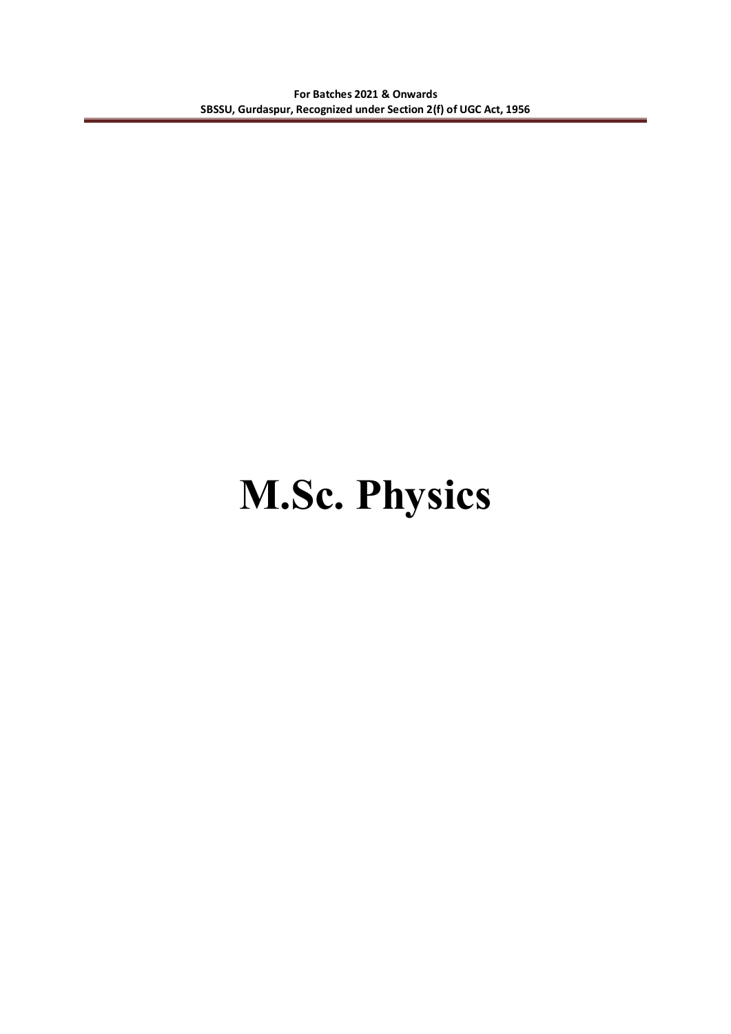# **M.Sc. Physics**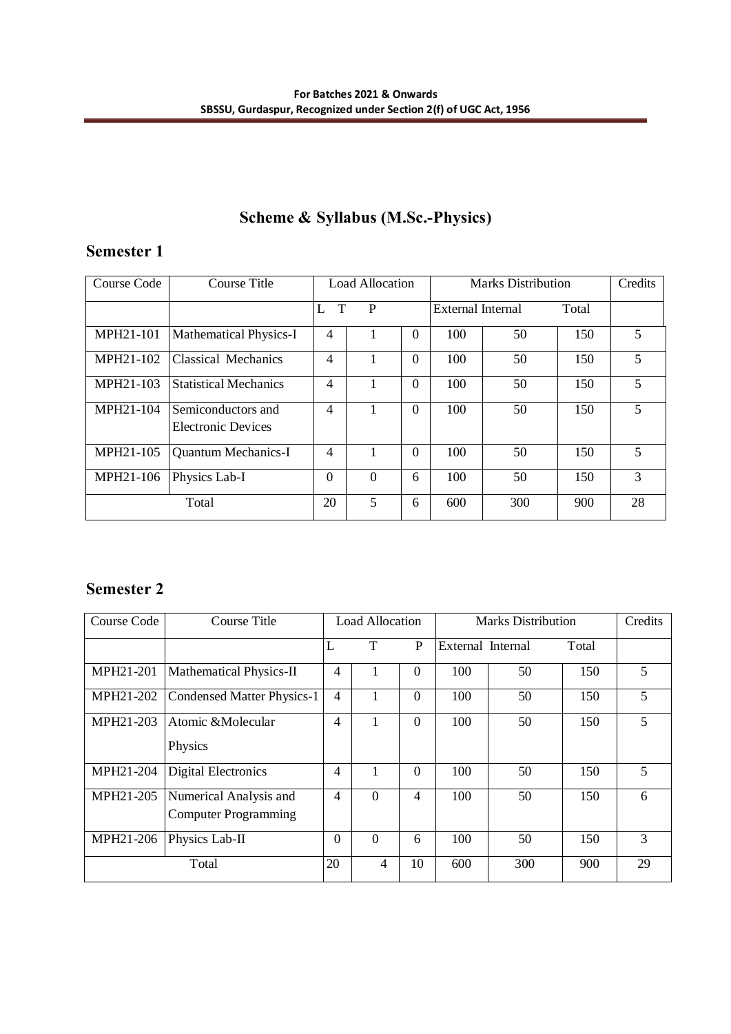# **Scheme & Syllabus (M.Sc.-Physics)**

# **Semester 1**

| Course Code | Course Title                                    | <b>Load Allocation</b> |          |          | <b>Marks Distribution</b> |     |       | Credits |
|-------------|-------------------------------------------------|------------------------|----------|----------|---------------------------|-----|-------|---------|
|             |                                                 | T<br>L                 | P        |          | External Internal         |     | Total |         |
| MPH21-101   | <b>Mathematical Physics-I</b>                   | 4                      |          | $\Omega$ | 100                       | 50  | 150   | 5       |
| MPH21-102   | <b>Classical Mechanics</b>                      | $\overline{4}$         |          | $\Omega$ | 100                       | 50  | 150   | 5       |
| MPH21-103   | <b>Statistical Mechanics</b>                    | 4                      |          | $\Omega$ | 100                       | 50  | 150   | 5       |
| MPH21-104   | Semiconductors and<br><b>Electronic Devices</b> | $\overline{4}$         |          | $\Omega$ | 100                       | 50  | 150   | 5       |
| MPH21-105   | <b>Quantum Mechanics-I</b>                      | $\overline{4}$         |          | $\Omega$ | 100                       | 50  | 150   | 5       |
| MPH21-106   | Physics Lab-I                                   | $\Omega$               | $\theta$ | 6        | 100                       | 50  | 150   | 3       |
|             | Total                                           | 20                     | 5        | 6        | 600                       | 300 | 900   | 28      |

# **Semester 2**

| Course Code | Course Title                                          | Load Allocation  |                | Marks Distribution |                   |     | Credits |    |
|-------------|-------------------------------------------------------|------------------|----------------|--------------------|-------------------|-----|---------|----|
|             |                                                       | L                | T              | P                  | External Internal |     | Total   |    |
| MPH21-201   | Mathematical Physics-II                               | 4                |                | $\Omega$           | 100               | 50  | 150     | 5  |
| MPH21-202   | <b>Condensed Matter Physics-1</b>                     | $\overline{4}$   |                | $\mathbf{0}$       | 100               | 50  | 150     | 5  |
| MPH21-203   | Atomic &Molecular<br>Physics                          | 4                |                | $\Omega$           | 100               | 50  | 150     | 5  |
| MPH21-204   | <b>Digital Electronics</b>                            | $\overline{4}$   |                | $\Omega$           | 100               | 50  | 150     | 5  |
| MPH21-205   | Numerical Analysis and<br><b>Computer Programming</b> | 4                | $\theta$       | $\overline{4}$     | 100               | 50  | 150     | 6  |
| MPH21-206   | Physics Lab-II                                        | $\boldsymbol{0}$ | $\theta$       | 6                  | 100               | 50  | 150     | 3  |
|             | Total                                                 | 20               | $\overline{4}$ | 10                 | 600               | 300 | 900     | 29 |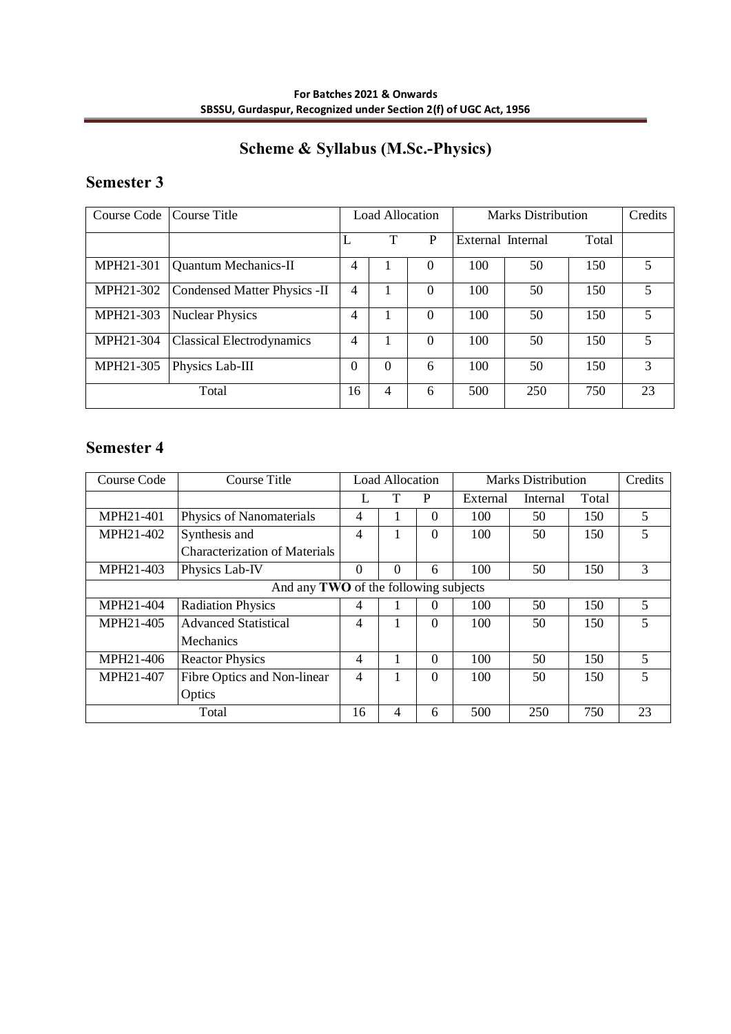# **Scheme & Syllabus (M.Sc.-Physics)**

# **Semester 3**

| Course Code | Course Title                     | Load Allocation |                | <b>Marks Distribution</b> |                   |     | Credits |    |
|-------------|----------------------------------|-----------------|----------------|---------------------------|-------------------|-----|---------|----|
|             |                                  |                 | Т              | P                         | External Internal |     | Total   |    |
| MPH21-301   | <b>Quantum Mechanics-II</b>      | 4               |                | $\theta$                  | 100               | 50  | 150     | 5. |
| MPH21-302   | Condensed Matter Physics -II     | 4               |                | $\theta$                  | 100               | 50  | 150     | 5  |
| MPH21-303   | <b>Nuclear Physics</b>           | 4               |                | $\Omega$                  | 100               | 50  | 150     | 5  |
| MPH21-304   | <b>Classical Electrodynamics</b> | $\overline{4}$  | 1              | $\Omega$                  | 100               | 50  | 150     | 5  |
| MPH21-305   | Physics Lab-III                  | 0               | $\theta$       | 6                         | 100               | 50  | 150     | 3  |
|             | Total                            | 16              | $\overline{4}$ | 6                         | 500               | 250 | 750     | 23 |

# **Semester 4**

| Course Code | Course Title                          |                          | <b>Load Allocation</b> |                |          | <b>Marks Distribution</b> |       | Credits                  |
|-------------|---------------------------------------|--------------------------|------------------------|----------------|----------|---------------------------|-------|--------------------------|
|             |                                       |                          | T                      | P              | External | Internal                  | Total |                          |
| MPH21-401   | Physics of Nanomaterials              | $\overline{4}$           |                        | $\Omega$       | 100      | 50                        | 150   | 5                        |
| MPH21-402   | Synthesis and                         | $\overline{\mathcal{A}}$ |                        | $\Omega$       | 100      | 50                        | 150   | 5                        |
|             | <b>Characterization of Materials</b>  |                          |                        |                |          |                           |       |                          |
| MPH21-403   | Physics Lab-IV                        | $\theta$                 | $\Omega$               | 6              | 100      | 50                        | 150   | 3                        |
|             | And any TWO of the following subjects |                          |                        |                |          |                           |       |                          |
| MPH21-404   | <b>Radiation Physics</b>              | 4                        |                        | 0              | 100      | 50                        | 150   | 5                        |
| MPH21-405   | <b>Advanced Statistical</b>           | 4                        |                        | $\overline{0}$ | 100      | 50                        | 150   | 5                        |
|             | Mechanics                             |                          |                        |                |          |                           |       |                          |
| MPH21-406   | <b>Reactor Physics</b>                | 4                        |                        | $\Omega$       | 100      | 50                        | 150   | 5                        |
| MPH21-407   | Fibre Optics and Non-linear           | $\overline{\mathcal{A}}$ |                        | $\Omega$       | 100      | 50                        | 150   | $\overline{\phantom{0}}$ |
|             | Optics                                |                          |                        |                |          |                           |       |                          |
|             | Total                                 | 16                       | $\overline{4}$         | 6              | 500      | 250                       | 750   | 23                       |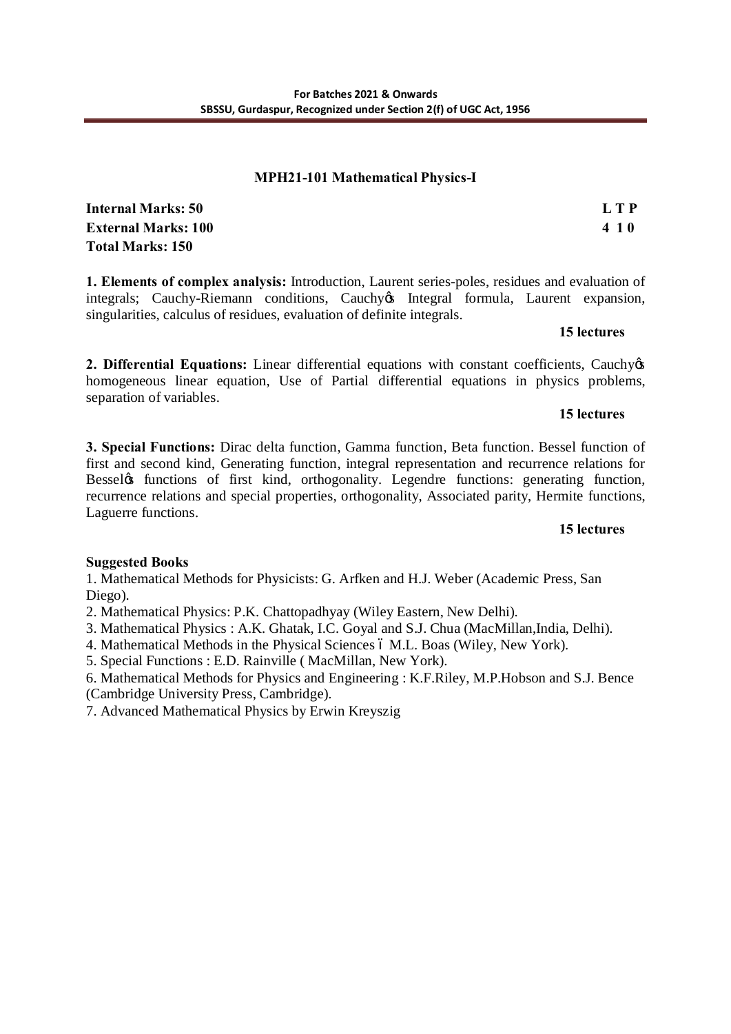#### **MPH21-101 Mathematical Physics-I**

| Internal Marks: 50         | L T P |
|----------------------------|-------|
| <b>External Marks: 100</b> | 410   |
| Total Marks: 150           |       |

**1. Elements of complex analysis:** Introduction, Laurent series-poles, residues and evaluation of integrals; Cauchy-Riemann conditions, Cauchy & Integral formula, Laurent expansion, singularities, calculus of residues, evaluation of definite integrals.

#### **15 lectures**

**2. Differential Equations:** Linear differential equations with constant coefficients, Cauchyos homogeneous linear equation, Use of Partial differential equations in physics problems, separation of variables.

#### **15 lectures**

**3. Special Functions:** Dirac delta function, Gamma function, Beta function. Bessel function of first and second kind, Generating function, integral representation and recurrence relations for Bessel tunctions of first kind, orthogonality. Legendre functions: generating function, recurrence relations and special properties, orthogonality, Associated parity, Hermite functions, Laguerre functions.

#### **15 lectures**

# **Suggested Books**

1. Mathematical Methods for Physicists: G. Arfken and H.J. Weber (Academic Press, San Diego).

- 2. Mathematical Physics: P.K. Chattopadhyay (Wiley Eastern, New Delhi).
- 3. Mathematical Physics : A.K. Ghatak, I.C. Goyal and S.J. Chua (MacMillan,India, Delhi).
- 4. Mathematical Methods in the Physical Sciences 6 M.L. Boas (Wiley, New York).
- 5. Special Functions : E.D. Rainville ( MacMillan, New York).

6. Mathematical Methods for Physics and Engineering : K.F.Riley, M.P.Hobson and S.J. Bence (Cambridge University Press, Cambridge).

7. Advanced Mathematical Physics by Erwin Kreyszig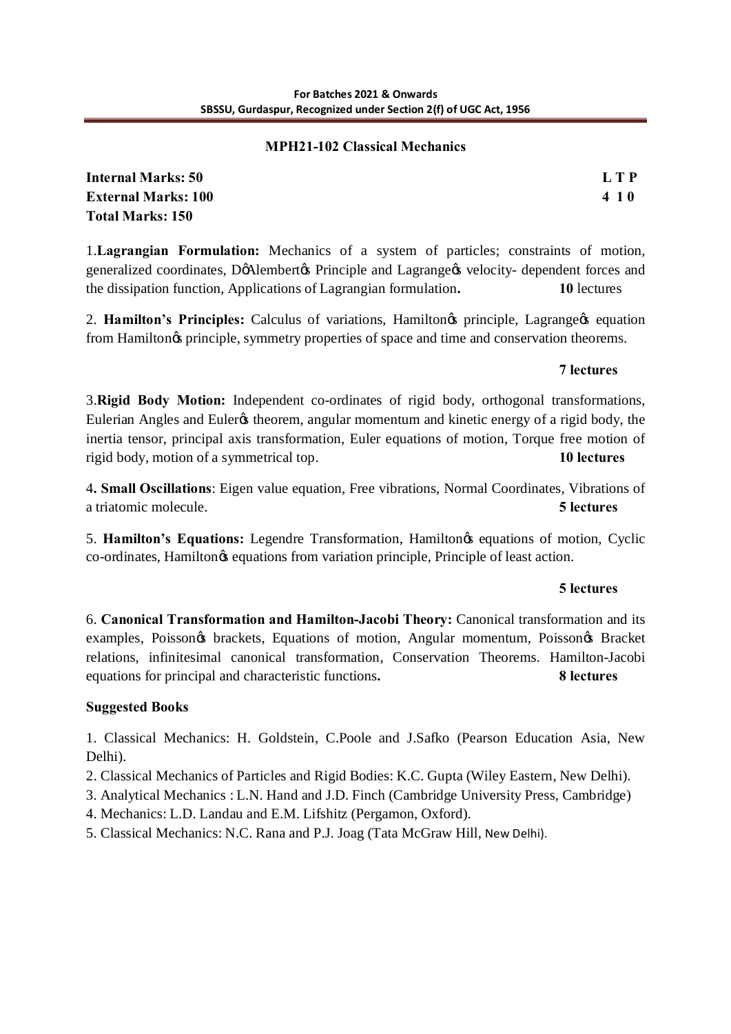# **MPH21-102 Classical Mechanics**

**Internal Marks: 50 L T P External Marks: 100 4 1 0 Total Marks: 150**

1.**Lagrangian Formulation:** Mechanics of a system of particles; constraints of motion, generalized coordinates, DøAlembertøs Principle and Lagrange $\alpha$  velocity- dependent forces and the dissipation function, Applications of Lagrangian formulation**. 10** lectures

2. **Hamilton's Principles:** Calculus of variations, Hamilton's principle, Lagrange's equation from Hamilton $\alpha$  principle, symmetry properties of space and time and conservation theorems.

# **7 lectures**

3.**Rigid Body Motion:** Independent co-ordinates of rigid body, orthogonal transformations, Eulerian Angles and Euleros theorem, angular momentum and kinetic energy of a rigid body, the inertia tensor, principal axis transformation, Euler equations of motion, Torque free motion of rigid body, motion of a symmetrical top. **10 lectures**

4**. Small Oscillations**: Eigen value equation, Free vibrations, Normal Coordinates, Vibrations of a triatomic molecule. **5 lectures**

5. **Hamilton's Equations:** Legendre Transformation, Hamilton's equations of motion, Cyclic co-ordinates, Hamilton $\alpha$  equations from variation principle, Principle of least action.

# **5 lectures**

6. **Canonical Transformation and Hamilton-Jacobi Theory:** Canonical transformation and its examples, Poisson $\circ$  brackets, Equations of motion, Angular momentum, Poisson $\circ$  Bracket relations, infinitesimal canonical transformation, Conservation Theorems. Hamilton-Jacobi equations for principal and characteristic functions**. 8 lectures**

# **Suggested Books**

1. Classical Mechanics: H. Goldstein, C.Poole and J.Safko (Pearson Education Asia, New Delhi).

- 2. Classical Mechanics of Particles and Rigid Bodies: K.C. Gupta (Wiley Eastern, New Delhi).
- 3. Analytical Mechanics : L.N. Hand and J.D. Finch (Cambridge University Press, Cambridge)
- 4. Mechanics: L.D. Landau and E.M. Lifshitz (Pergamon, Oxford).
- 5. Classical Mechanics: N.C. Rana and P.J. Joag (Tata McGraw Hill, New Delhi).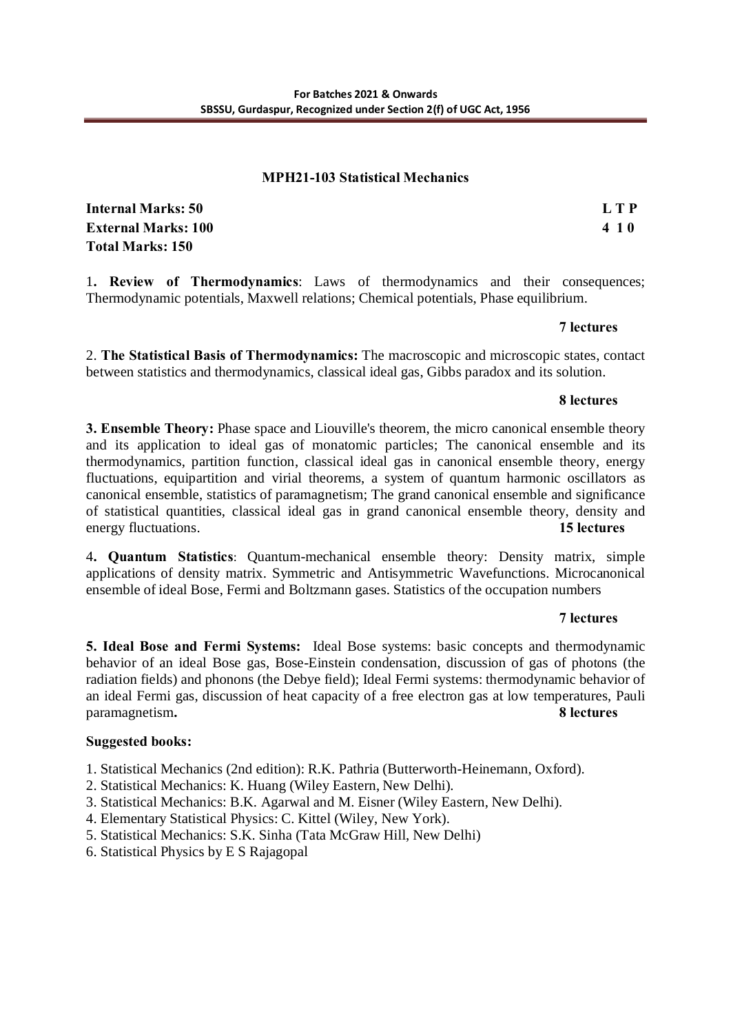#### **MPH21-103 Statistical Mechanics**

**Internal Marks: 50 L T P External Marks: 100 4 1 0 Total Marks: 150**

1**. Review of Thermodynamics**: Laws of thermodynamics and their consequences; Thermodynamic potentials, Maxwell relations; Chemical potentials, Phase equilibrium.

#### **7 lectures**

2. **The Statistical Basis of Thermodynamics:** The macroscopic and microscopic states, contact between statistics and thermodynamics, classical ideal gas, Gibbs paradox and its solution.

#### **8 lectures**

**3. Ensemble Theory:** Phase space and Liouville's theorem, the micro canonical ensemble theory and its application to ideal gas of monatomic particles; The canonical ensemble and its thermodynamics, partition function, classical ideal gas in canonical ensemble theory, energy fluctuations, equipartition and virial theorems, a system of quantum harmonic oscillators as canonical ensemble, statistics of paramagnetism; The grand canonical ensemble and significance of statistical quantities, classical ideal gas in grand canonical ensemble theory, density and energy fluctuations. **15 lectures**

4**. Quantum Statistics**: Quantum-mechanical ensemble theory: Density matrix, simple applications of density matrix. Symmetric and Antisymmetric Wavefunctions. Microcanonical ensemble of ideal Bose, Fermi and Boltzmann gases. Statistics of the occupation numbers

# **7 lectures**

**5. Ideal Bose and Fermi Systems:** Ideal Bose systems: basic concepts and thermodynamic behavior of an ideal Bose gas, Bose-Einstein condensation, discussion of gas of photons (the radiation fields) and phonons (the Debye field); Ideal Fermi systems: thermodynamic behavior of an ideal Fermi gas, discussion of heat capacity of a free electron gas at low temperatures, Pauli paramagnetism**. 8 lectures**

# **Suggested books:**

1. Statistical Mechanics (2nd edition): R.K. Pathria (Butterworth-Heinemann, Oxford).

- 2. Statistical Mechanics: K. Huang (Wiley Eastern, New Delhi).
- 3. Statistical Mechanics: B.K. Agarwal and M. Eisner (Wiley Eastern, New Delhi).
- 4. Elementary Statistical Physics: C. Kittel (Wiley, New York).
- 5. Statistical Mechanics: S.K. Sinha (Tata McGraw Hill, New Delhi)
- 6. Statistical Physics by E S Rajagopal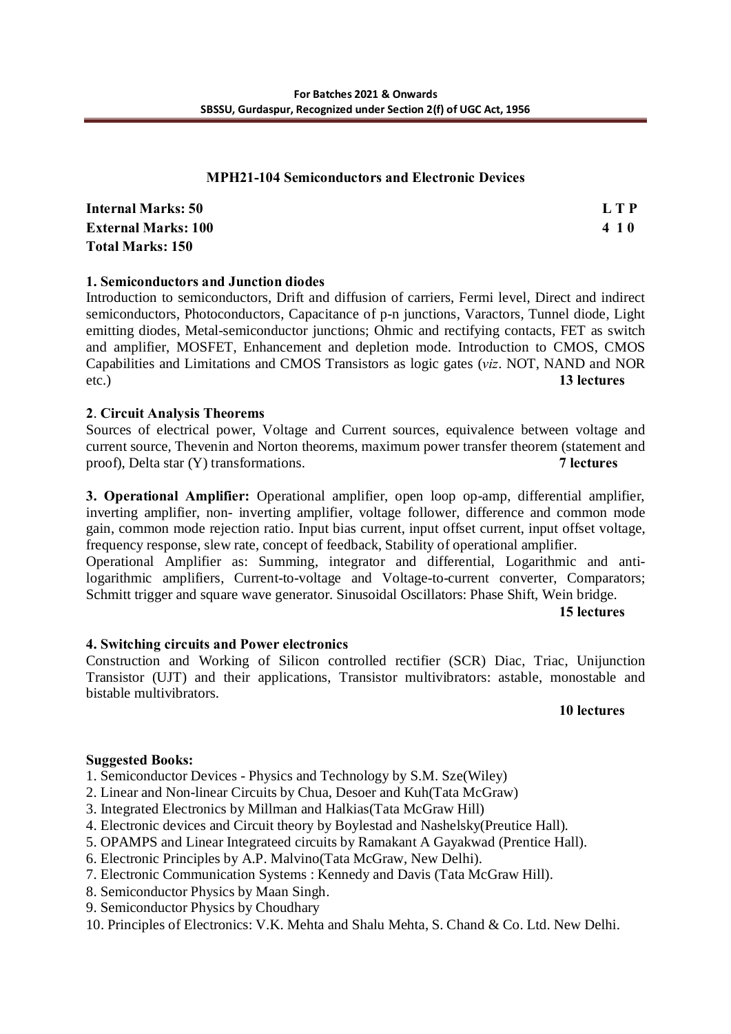# **MPH21-104 Semiconductors and Electronic Devices**

**Internal Marks: 50 L T P External Marks: 100 4 1 0 Total Marks: 150**

# **1. Semiconductors and Junction diodes**

Introduction to semiconductors, Drift and diffusion of carriers, Fermi level, Direct and indirect semiconductors, Photoconductors, Capacitance of p-n junctions, Varactors, Tunnel diode, Light emitting diodes, Metal-semiconductor junctions; Ohmic and rectifying contacts, FET as switch and amplifier, MOSFET, Enhancement and depletion mode. Introduction to CMOS, CMOS Capabilities and Limitations and CMOS Transistors as logic gates (*viz*. NOT, NAND and NOR etc.) **13 lectures** 

# **2**. **Circuit Analysis Theorems**

Sources of electrical power, Voltage and Current sources, equivalence between voltage and current source, Thevenin and Norton theorems, maximum power transfer theorem (statement and proof), Delta star (Y) transformations. **7 lectures** 

**3. Operational Amplifier:** Operational amplifier, open loop op-amp, differential amplifier, inverting amplifier, non- inverting amplifier, voltage follower, difference and common mode gain, common mode rejection ratio. Input bias current, input offset current, input offset voltage, frequency response, slew rate, concept of feedback, Stability of operational amplifier. Operational Amplifier as: Summing, integrator and differential, Logarithmic and antilogarithmic amplifiers, Current-to-voltage and Voltage-to-current converter, Comparators; Schmitt trigger and square wave generator. Sinusoidal Oscillators: Phase Shift, Wein bridge.

**15 lectures** 

# **4. Switching circuits and Power electronics**

Construction and Working of Silicon controlled rectifier (SCR) Diac, Triac, Unijunction Transistor (UJT) and their applications, Transistor multivibrators: astable, monostable and bistable multivibrators.

#### **10 lectures**

# **Suggested Books:**

1. Semiconductor Devices - Physics and Technology by S.M. Sze(Wiley)

2. Linear and Non-linear Circuits by Chua, Desoer and Kuh(Tata McGraw)

- 3. Integrated Electronics by Millman and Halkias(Tata McGraw Hill)
- 4. Electronic devices and Circuit theory by Boylestad and Nashelsky(Preutice Hall).
- 5. OPAMPS and Linear Integrateed circuits by Ramakant A Gayakwad (Prentice Hall).
- 6. Electronic Principles by A.P. Malvino(Tata McGraw, New Delhi).
- 7. Electronic Communication Systems : Kennedy and Davis (Tata McGraw Hill).
- 8. Semiconductor Physics by Maan Singh.
- 9. Semiconductor Physics by Choudhary
- 10. Principles of Electronics: V.K. Mehta and Shalu Mehta, S. Chand & Co. Ltd. New Delhi.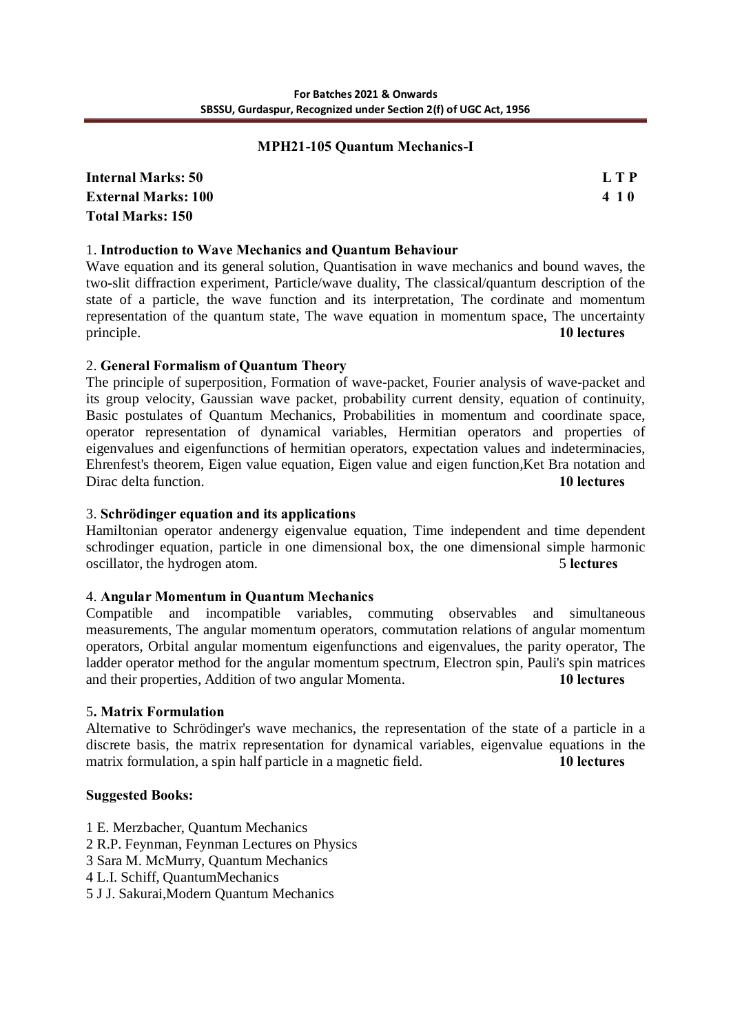#### **MPH21-105 Quantum Mechanics-I**

**Internal Marks: 50 L T P External Marks: 100 4 1 0 Total Marks: 150**

# 1. **Introduction to Wave Mechanics and Quantum Behaviour**

Wave equation and its general solution, Quantisation in wave mechanics and bound waves, the two-slit diffraction experiment, Particle/wave duality, The classical/quantum description of the state of a particle, the wave function and its interpretation, The cordinate and momentum representation of the quantum state, The wave equation in momentum space, The uncertainty principle. **10 lectures** 

#### 2. **General Formalism of Quantum Theory**

The principle of superposition, Formation of wave-packet, Fourier analysis of wave-packet and its group velocity, Gaussian wave packet, probability current density, equation of continuity, Basic postulates of Quantum Mechanics, Probabilities in momentum and coordinate space, operator representation of dynamical variables, Hermitian operators and properties of eigenvalues and eigenfunctions of hermitian operators, expectation values and indeterminacies, Ehrenfest's theorem, Eigen value equation, Eigen value and eigen function,Ket Bra notation and Dirac delta function. **10 lectures** 

#### 3. **Schrödinger equation and its applications**

Hamiltonian operator andenergy eigenvalue equation, Time independent and time dependent schrodinger equation, particle in one dimensional box, the one dimensional simple harmonic oscillator, the hydrogen atom. 5 **lectures** 

#### 4. **Angular Momentum in Quantum Mechanics**

Compatible and incompatible variables, commuting observables and simultaneous measurements, The angular momentum operators, commutation relations of angular momentum operators, Orbital angular momentum eigenfunctions and eigenvalues, the parity operator, The ladder operator method for the angular momentum spectrum, Electron spin, Pauli's spin matrices and their properties, Addition of two angular Momenta. **10 lectures** 

#### 5**. Matrix Formulation**

Alternative to Schrödinger's wave mechanics, the representation of the state of a particle in a discrete basis, the matrix representation for dynamical variables, eigenvalue equations in the matrix formulation, a spin half particle in a magnetic field. **10 lectures** 

#### **Suggested Books:**

- 1 E. Merzbacher, Quantum Mechanics
- 2 R.P. Feynman, Feynman Lectures on Physics
- 3 Sara M. McMurry, Quantum Mechanics
- 4 L.I. Schiff, QuantumMechanics
- 5 J J. Sakurai,Modern Quantum Mechanics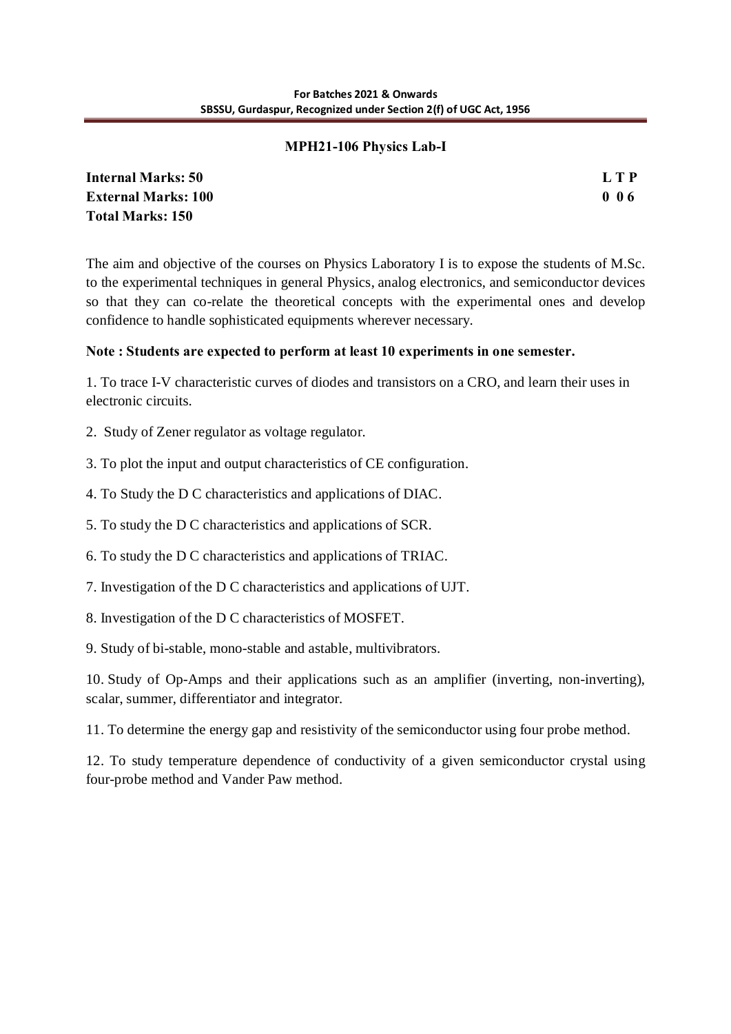# **MPH21-106 Physics Lab-I**

| <b>Internal Marks: 50</b>  | L T P |
|----------------------------|-------|
| <b>External Marks: 100</b> | 006   |
| <b>Total Marks: 150</b>    |       |

The aim and objective of the courses on Physics Laboratory I is to expose the students of M.Sc. to the experimental techniques in general Physics, analog electronics, and semiconductor devices so that they can co-relate the theoretical concepts with the experimental ones and develop confidence to handle sophisticated equipments wherever necessary.

# **Note : Students are expected to perform at least 10 experiments in one semester.**

1. To trace I-V characteristic curves of diodes and transistors on a CRO, and learn their uses in electronic circuits.

- 2. Study of Zener regulator as voltage regulator.
- 3. To plot the input and output characteristics of CE configuration.
- 4. To Study the D C characteristics and applications of DIAC.
- 5. To study the D C characteristics and applications of SCR.
- 6. To study the D C characteristics and applications of TRIAC.
- 7. Investigation of the D C characteristics and applications of UJT.
- 8. Investigation of the D C characteristics of MOSFET.
- 9. Study of bi-stable, mono-stable and astable, multivibrators.

10. Study of Op-Amps and their applications such as an amplifier (inverting, non-inverting), scalar, summer, differentiator and integrator.

11. To determine the energy gap and resistivity of the semiconductor using four probe method.

12. To study temperature dependence of conductivity of a given semiconductor crystal using four-probe method and Vander Paw method.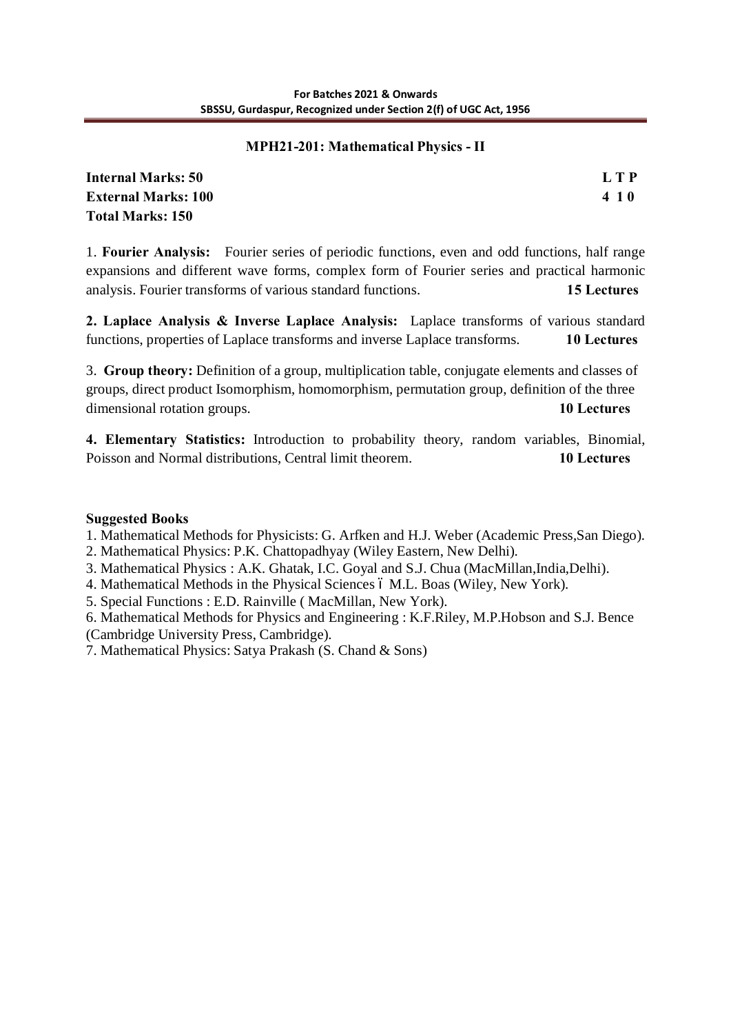# **MPH21-201: Mathematical Physics - II**

**Internal Marks: 50 L T P External Marks: 100 4 1 0 Total Marks: 150**

1. **Fourier Analysis:** Fourier series of periodic functions, even and odd functions, half range expansions and different wave forms, complex form of Fourier series and practical harmonic analysis. Fourier transforms of various standard functions. **15 Lectures**

**2. Laplace Analysis & Inverse Laplace Analysis:** Laplace transforms of various standard functions, properties of Laplace transforms and inverse Laplace transforms. **10 Lectures**

3. **Group theory:** Definition of a group, multiplication table, conjugate elements and classes of groups, direct product Isomorphism, homomorphism, permutation group, definition of the three dimensional rotation groups. **10 Lectures**

**4. Elementary Statistics:** Introduction to probability theory, random variables, Binomial, Poisson and Normal distributions, Central limit theorem. **10 Lectures**

# **Suggested Books**

1. Mathematical Methods for Physicists: G. Arfken and H.J. Weber (Academic Press,San Diego).

- 2. Mathematical Physics: P.K. Chattopadhyay (Wiley Eastern, New Delhi).
- 3. Mathematical Physics : A.K. Ghatak, I.C. Goyal and S.J. Chua (MacMillan,India,Delhi).
- 4. Mathematical Methods in the Physical Sciences 6 M.L. Boas (Wiley, New York).
- 5. Special Functions : E.D. Rainville ( MacMillan, New York).

6. Mathematical Methods for Physics and Engineering : K.F.Riley, M.P.Hobson and S.J. Bence (Cambridge University Press, Cambridge).

7. Mathematical Physics: Satya Prakash (S. Chand & Sons)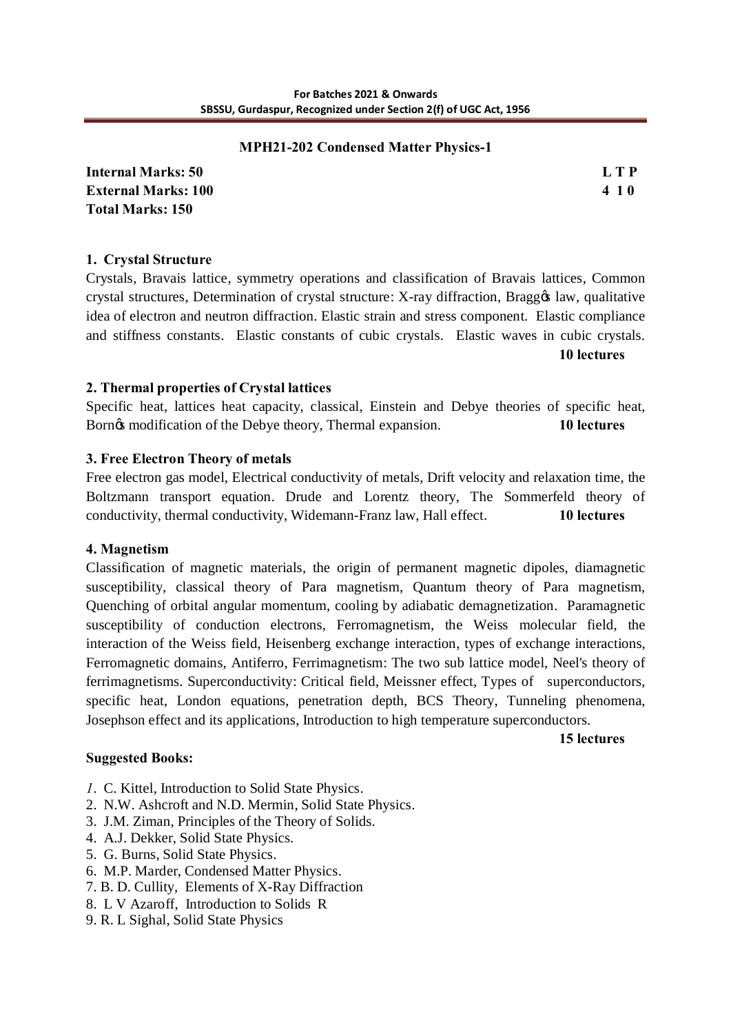## **MPH21-202 Condensed Matter Physics-1**

**Internal Marks: 50 L T P External Marks: 100 4 1 0 Total Marks: 150**

# **1. Crystal Structure**

Crystals, Bravais lattice, symmetry operations and classification of Bravais lattices, Common crystal structures, Determination of crystal structure: X-ray diffraction, Braggo law, qualitative idea of electron and neutron diffraction. Elastic strain and stress component. Elastic compliance and stiffness constants. Elastic constants of cubic crystals. Elastic waves in cubic crystals.

**10 lectures**

#### **2. Thermal properties of Crystal lattices**

Specific heat, lattices heat capacity, classical, Einstein and Debye theories of specific heat, Born $\alpha$  modification of the Debye theory, Thermal expansion. **10 lectures** 

# **3. Free Electron Theory of metals**

Free electron gas model, Electrical conductivity of metals, Drift velocity and relaxation time, the Boltzmann transport equation. Drude and Lorentz theory, The Sommerfeld theory of conductivity, thermal conductivity, Widemann-Franz law, Hall effect. **10 lectures**

# **4. Magnetism**

Classification of magnetic materials, the origin of permanent magnetic dipoles, diamagnetic susceptibility, classical theory of Para magnetism, Quantum theory of Para magnetism, Quenching of orbital angular momentum, cooling by adiabatic demagnetization. Paramagnetic susceptibility of conduction electrons, Ferromagnetism, the Weiss molecular field, the interaction of the Weiss field, Heisenberg exchange interaction, types of exchange interactions, Ferromagnetic domains, Antiferro, Ferrimagnetism: The two sub lattice model, Neel's theory of ferrimagnetisms. Superconductivity: Critical field, Meissner effect, Types of superconductors, specific heat, London equations, penetration depth, BCS Theory, Tunneling phenomena, Josephson effect and its applications, Introduction to high temperature superconductors.

**15 lectures**

# **Suggested Books:**

- *1*. C. Kittel, Introduction to Solid State Physics.
- 2. N.W. Ashcroft and N.D. Mermin, Solid State Physics.
- 3. J.M. Ziman, Principles of the Theory of Solids.
- 4. A.J. Dekker, Solid State Physics.
- 5. G. Burns, Solid State Physics.
- 6. M.P. Marder, Condensed Matter Physics.
- 7. B. D. Cullity, Elements of X-Ray Diffraction
- 8. L V Azaroff, Introduction to Solids R
- 9. R. L Sighal, Solid State Physics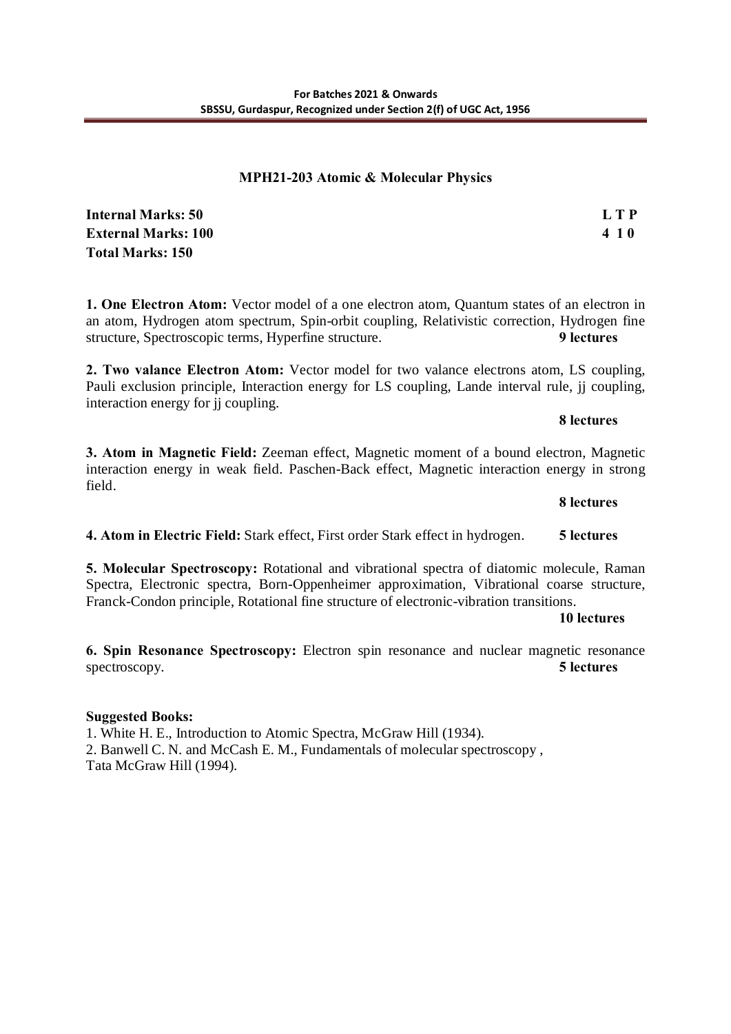## **MPH21-203 Atomic & Molecular Physics**

**Internal Marks: 50 L T P External Marks: 100 4 1 0 Total Marks: 150**

**1. One Electron Atom:** Vector model of a one electron atom, Quantum states of an electron in an atom, Hydrogen atom spectrum, Spin-orbit coupling, Relativistic correction, Hydrogen fine structure, Spectroscopic terms, Hyperfine structure. **9 lectures** 

**2. Two valance Electron Atom:** Vector model for two valance electrons atom, LS coupling, Pauli exclusion principle, Interaction energy for LS coupling, Lande interval rule, jj coupling, interaction energy for jj coupling.

#### **8 lectures**

**3. Atom in Magnetic Field:** Zeeman effect, Magnetic moment of a bound electron, Magnetic interaction energy in weak field. Paschen-Back effect, Magnetic interaction energy in strong field.

**8 lectures 4. Atom in Electric Field:** Stark effect, First order Stark effect in hydrogen. **5 lectures** 

**5. Molecular Spectroscopy:** Rotational and vibrational spectra of diatomic molecule, Raman Spectra, Electronic spectra, Born-Oppenheimer approximation, Vibrational coarse structure, Franck-Condon principle, Rotational fine structure of electronic-vibration transitions.

#### **10 lectures**

**6. Spin Resonance Spectroscopy:** Electron spin resonance and nuclear magnetic resonance spectroscopy. **5 lectures** 

# **Suggested Books:**

1. White H. E., Introduction to Atomic Spectra, McGraw Hill (1934). 2. Banwell C. N. and McCash E. M., Fundamentals of molecular spectroscopy , Tata McGraw Hill (1994).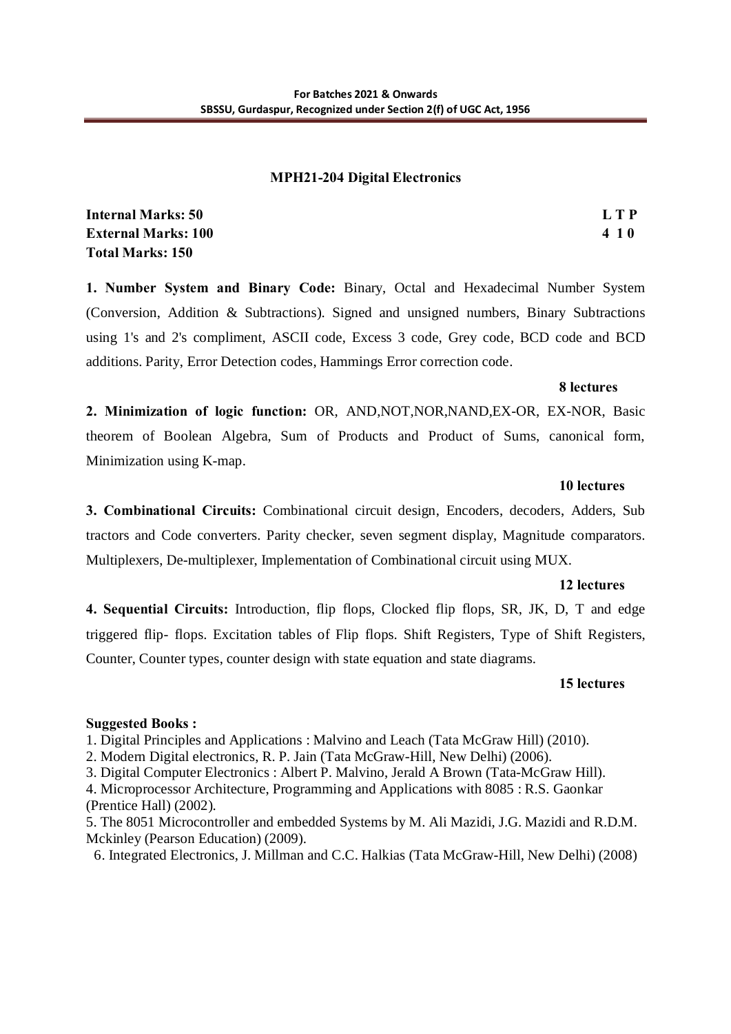## **MPH21-204 Digital Electronics**

| <b>Internal Marks: 50</b>  | L T P |
|----------------------------|-------|
| <b>External Marks: 100</b> | 410   |
| <b>Total Marks: 150</b>    |       |

**1. Number System and Binary Code:** Binary, Octal and Hexadecimal Number System (Conversion, Addition & Subtractions). Signed and unsigned numbers, Binary Subtractions using 1's and 2's compliment, ASCII code, Excess 3 code, Grey code, BCD code and BCD additions. Parity, Error Detection codes, Hammings Error correction code.

#### **8 lectures**

**2. Minimization of logic function:** OR, AND,NOT,NOR,NAND,EX-OR, EX-NOR, Basic theorem of Boolean Algebra, Sum of Products and Product of Sums, canonical form, Minimization using K-map.

#### **10 lectures**

**3. Combinational Circuits:** Combinational circuit design, Encoders, decoders, Adders, Sub tractors and Code converters. Parity checker, seven segment display, Magnitude comparators. Multiplexers, De-multiplexer, Implementation of Combinational circuit using MUX.

#### **12 lectures**

**4. Sequential Circuits:** Introduction, flip flops, Clocked flip flops, SR, JK, D, T and edge triggered flip- flops. Excitation tables of Flip flops. Shift Registers, Type of Shift Registers, Counter, Counter types, counter design with state equation and state diagrams.

#### **15 lectures**

# **Suggested Books :**

1. Digital Principles and Applications : Malvino and Leach (Tata McGraw Hill) (2010).

2. Modern Digital electronics, R. P. Jain (Tata McGraw-Hill, New Delhi) (2006).

3. Digital Computer Electronics : Albert P. Malvino, Jerald A Brown (Tata-McGraw Hill).

4. Microprocessor Architecture, Programming and Applications with 8085 : R.S. Gaonkar (Prentice Hall) (2002).

5. The 8051 Microcontroller and embedded Systems by M. Ali Mazidi, J.G. Mazidi and R.D.M. Mckinley (Pearson Education) (2009).

6. Integrated Electronics, J. Millman and C.C. Halkias (Tata McGraw-Hill, New Delhi) (2008)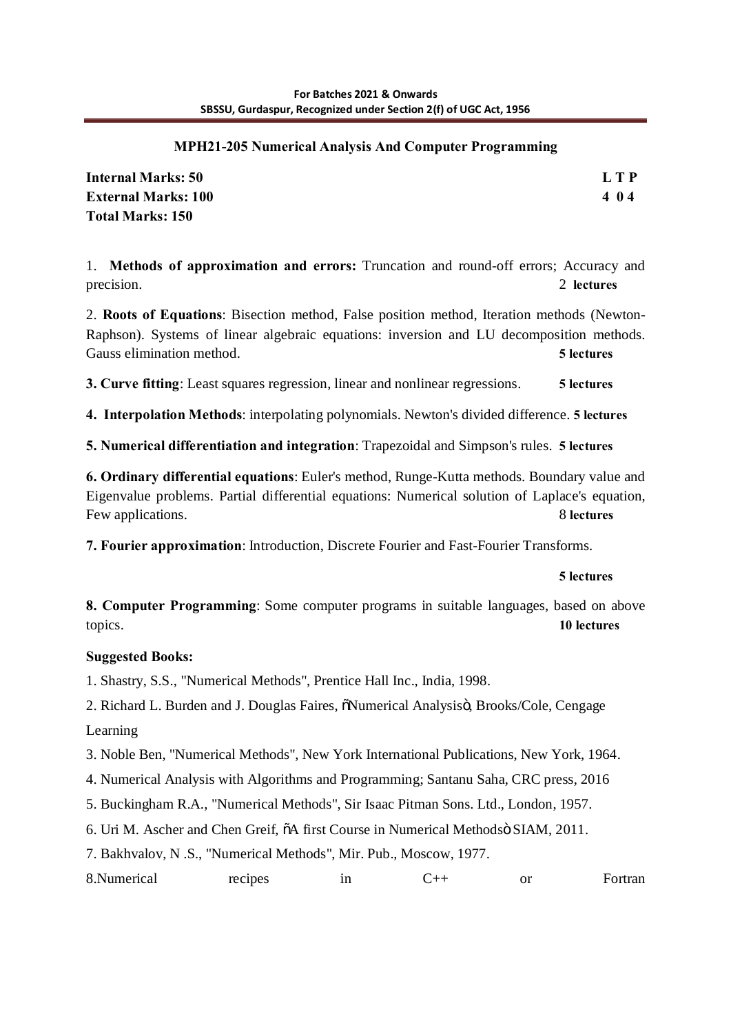# **MPH21-205 Numerical Analysis And Computer Programming**

| <b>Internal Marks: 50</b>  | L T P |
|----------------------------|-------|
| <b>External Marks: 100</b> | 404   |
| <b>Total Marks: 150</b>    |       |

1. **Methods of approximation and errors:** Truncation and round-off errors; Accuracy and precision. 2 **lectures** 2

2. **Roots of Equations**: Bisection method, False position method, Iteration methods (Newton-Raphson). Systems of linear algebraic equations: inversion and LU decomposition methods. Gauss elimination method. **5 lectures** 

**3. Curve fitting**: Least squares regression, linear and nonlinear regressions. **5 lectures** 

**4. Interpolation Methods**: interpolating polynomials. Newton's divided difference. **5 lectures** 

**5. Numerical differentiation and integration**: Trapezoidal and Simpson's rules. **5 lectures** 

**6. Ordinary differential equations**: Euler's method, Runge-Kutta methods. Boundary value and Eigenvalue problems. Partial differential equations: Numerical solution of Laplace's equation, Few applications. 8 **lectures** 

**7. Fourier approximation**: Introduction, Discrete Fourier and Fast-Fourier Transforms.

# **5 lectures**

**8. Computer Programming**: Some computer programs in suitable languages, based on above topics. **10 lectures** 

# **Suggested Books:**

1. Shastry, S.S., "Numerical Methods", Prentice Hall Inc., India, 1998.

2. Richard L. Burden and J. Douglas Faires,  $\tilde{o}$ Numerical Analysisö, Brooks/Cole, Cengage Learning

3. Noble Ben, "Numerical Methods", New York International Publications, New York, 1964.

4. Numerical Analysis with Algorithms and Programming; Santanu Saha, CRC press, 2016

5. Buckingham R.A., "Numerical Methods", Sir Isaac Pitman Sons. Ltd., London, 1957.

6. Uri M. Ascher and Chen Greif, "A first Course in Numerical Methods" SIAM, 2011.

7. Bakhvalov, N .S., "Numerical Methods", Mir. Pub., Moscow, 1977.

8.Numerical recipes in C++ or Fortran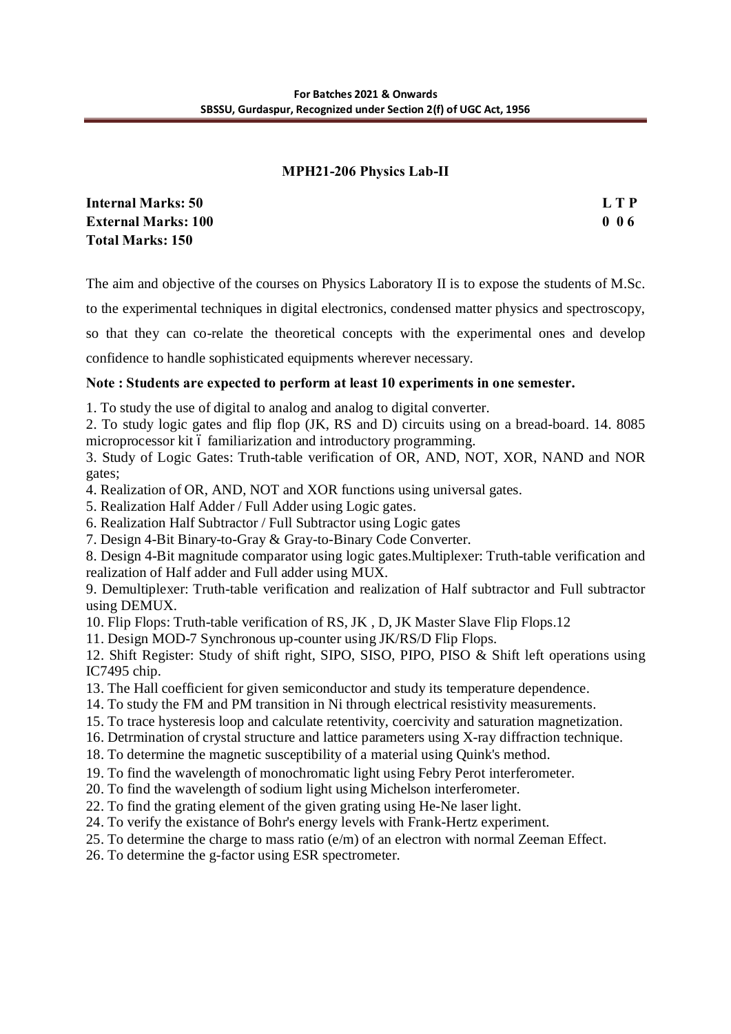# **MPH21-206 Physics Lab-II**

**Internal Marks: 50 L T P External Marks: 100 0 0 6 Total Marks: 150**

The aim and objective of the courses on Physics Laboratory II is to expose the students of M.Sc.

to the experimental techniques in digital electronics, condensed matter physics and spectroscopy,

so that they can co-relate the theoretical concepts with the experimental ones and develop confidence to handle sophisticated equipments wherever necessary.

# **Note : Students are expected to perform at least 10 experiments in one semester.**

1. To study the use of digital to analog and analog to digital converter.

2. To study logic gates and flip flop (JK, RS and D) circuits using on a bread-board. 14. 8085 microprocessor kit 6 familiarization and introductory programming.

3. Study of Logic Gates: Truth-table verification of OR, AND, NOT, XOR, NAND and NOR gates;

4. Realization of OR, AND, NOT and XOR functions using universal gates.

5. Realization Half Adder / Full Adder using Logic gates.

6. Realization Half Subtractor / Full Subtractor using Logic gates

7. Design 4-Bit Binary-to-Gray & Gray-to-Binary Code Converter.

8. Design 4-Bit magnitude comparator using logic gates.Multiplexer: Truth-table verification and realization of Half adder and Full adder using MUX.

9. Demultiplexer: Truth-table verification and realization of Half subtractor and Full subtractor using DEMUX.

10. Flip Flops: Truth-table verification of RS, JK , D, JK Master Slave Flip Flops.12

11. Design MOD-7 Synchronous up-counter using JK/RS/D Flip Flops.

12. Shift Register: Study of shift right, SIPO, SISO, PIPO, PISO & Shift left operations using IC7495 chip.

- 13. The Hall coefficient for given semiconductor and study its temperature dependence.
- 14. To study the FM and PM transition in Ni through electrical resistivity measurements.
- 15. To trace hysteresis loop and calculate retentivity, coercivity and saturation magnetization.
- 16. Detrmination of crystal structure and lattice parameters using X-ray diffraction technique.
- 18. To determine the magnetic susceptibility of a material using Quink's method.

19. To find the wavelength of monochromatic light using Febry Perot interferometer.

20. To find the wavelength of sodium light using Michelson interferometer.

- 22. To find the grating element of the given grating using He-Ne laser light.
- 24. To verify the existance of Bohr's energy levels with Frank-Hertz experiment.
- 25. To determine the charge to mass ratio (e/m) of an electron with normal Zeeman Effect.
- 26. To determine the g-factor using ESR spectrometer.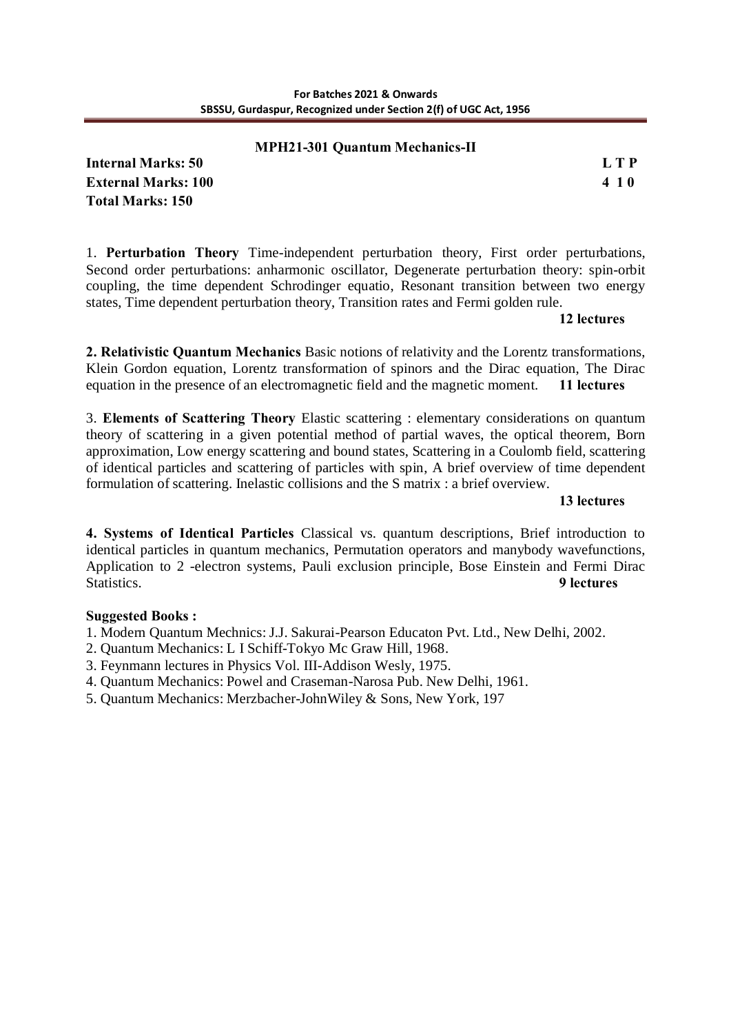# **MPH21-301 Quantum Mechanics-II**

**Internal Marks: 50 L T P External Marks: 100 4 1 0 Total Marks: 150**

1. **Perturbation Theory** Time-independent perturbation theory, First order perturbations, Second order perturbations: anharmonic oscillator, Degenerate perturbation theory: spin-orbit coupling, the time dependent Schrodinger equatio, Resonant transition between two energy states, Time dependent perturbation theory, Transition rates and Fermi golden rule.

#### **12 lectures**

**2. Relativistic Quantum Mechanics** Basic notions of relativity and the Lorentz transformations, Klein Gordon equation, Lorentz transformation of spinors and the Dirac equation, The Dirac equation in the presence of an electromagnetic field and the magnetic moment. **11 lectures**

3. **Elements of Scattering Theory** Elastic scattering : elementary considerations on quantum theory of scattering in a given potential method of partial waves, the optical theorem, Born approximation, Low energy scattering and bound states, Scattering in a Coulomb field, scattering of identical particles and scattering of particles with spin, A brief overview of time dependent formulation of scattering. Inelastic collisions and the S matrix : a brief overview.

#### **13 lectures**

**4. Systems of Identical Particles** Classical vs. quantum descriptions, Brief introduction to identical particles in quantum mechanics, Permutation operators and manybody wavefunctions, Application to 2 -electron systems, Pauli exclusion principle, Bose Einstein and Fermi Dirac Statistics. **9 lectures**

#### **Suggested Books :**

1. Modern Quantum Mechnics: J.J. Sakurai-Pearson Educaton Pvt. Ltd., New Delhi, 2002.

2. Quantum Mechanics: L I Schiff-Tokyo Mc Graw Hill, 1968.

- 3. Feynmann lectures in Physics Vol. III-Addison Wesly, 1975.
- 4. Quantum Mechanics: Powel and Craseman-Narosa Pub. New Delhi, 1961.
- 5. Quantum Mechanics: Merzbacher-JohnWiley & Sons, New York, 197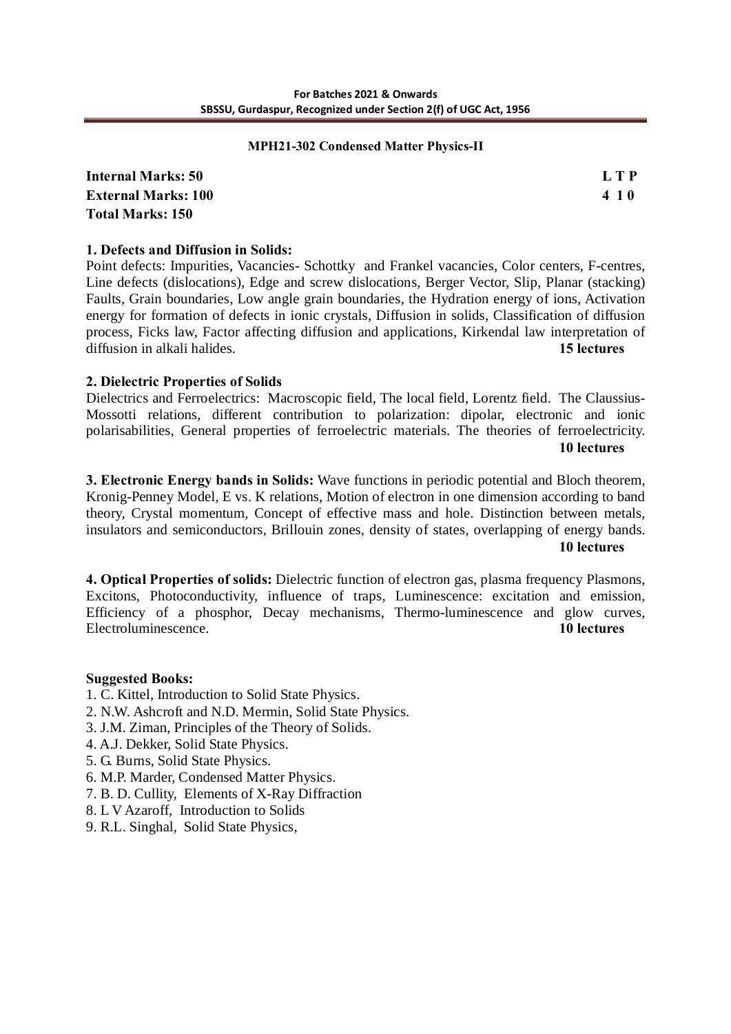#### **MPH21-302 Condensed Matter Physics-II**

**Internal Marks: 50 L T P External Marks: 100 4 1 0 Total Marks: 150**

## **1. Defects and Diffusion in Solids:**

Point defects: Impurities, Vacancies- Schottky and Frankel vacancies, Color centers, F-centres, Line defects (dislocations), Edge and screw dislocations, Berger Vector, Slip, Planar (stacking) Faults, Grain boundaries, Low angle grain boundaries, the Hydration energy of ions, Activation energy for formation of defects in ionic crystals, Diffusion in solids, Classification of diffusion process, Ficks law, Factor affecting diffusion and applications, Kirkendal law interpretation of diffusion in alkali halides. **15 lectures**

#### **2. Dielectric Properties of Solids**

Dielectrics and Ferroelectrics: Macroscopic field, The local field, Lorentz field. The Claussius-Mossotti relations, different contribution to polarization: dipolar, electronic and ionic polarisabilities, General properties of ferroelectric materials. The theories of ferroelectricity. **10 lectures**

**3. Electronic Energy bands in Solids:** Wave functions in periodic potential and Bloch theorem, Kronig-Penney Model, E vs. K relations, Motion of electron in one dimension according to band theory, Crystal momentum, Concept of effective mass and hole. Distinction between metals, insulators and semiconductors, Brillouin zones, density of states, overlapping of energy bands.

**10 lectures** 

**4. Optical Properties of solids:** Dielectric function of electron gas, plasma frequency Plasmons, Excitons, Photoconductivity, influence of traps, Luminescence: excitation and emission, Efficiency of a phosphor, Decay mechanisms, Thermo-luminescence and glow curves, Electroluminescence. **10 lectures**

#### **Suggested Books:**

- 1. C. Kittel, Introduction to Solid State Physics.
- 2. N.W. Ashcroft and N.D. Mermin, Solid State Physics.
- 3. J.M. Ziman, Principles of the Theory of Solids.
- 4. A.J. Dekker, Solid State Physics.
- 5. G. Burns, Solid State Physics.
- 6. M.P. Marder, Condensed Matter Physics.
- 7. B. D. Cullity, Elements of X-Ray Diffraction
- 8. L V Azaroff, Introduction to Solids
- 9. R.L. Singhal, Solid State Physics,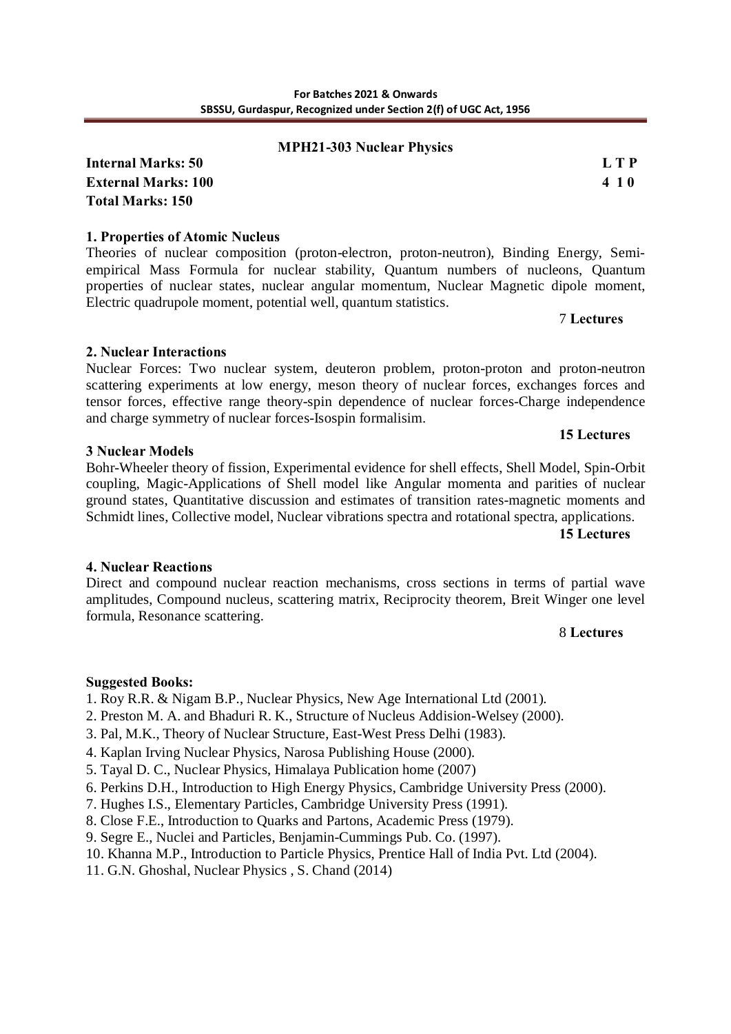#### **MPH21-303 Nuclear Physics**

**Internal Marks: 50 L T P External Marks: 100 4 1 0 Total Marks: 150**

#### **1. Properties of Atomic Nucleus**

Theories of nuclear composition (proton-electron, proton-neutron), Binding Energy, Semiempirical Mass Formula for nuclear stability, Quantum numbers of nucleons, Quantum properties of nuclear states, nuclear angular momentum, Nuclear Magnetic dipole moment, Electric quadrupole moment, potential well, quantum statistics.

7 **Lectures**

#### **2. Nuclear Interactions**

Nuclear Forces: Two nuclear system, deuteron problem, proton-proton and proton-neutron scattering experiments at low energy, meson theory of nuclear forces, exchanges forces and tensor forces, effective range theory-spin dependence of nuclear forces-Charge independence and charge symmetry of nuclear forces-Isospin formalisim.

#### **3 Nuclear Models**

Bohr-Wheeler theory of fission, Experimental evidence for shell effects, Shell Model, Spin-Orbit coupling, Magic-Applications of Shell model like Angular momenta and parities of nuclear ground states, Quantitative discussion and estimates of transition rates-magnetic moments and Schmidt lines, Collective model, Nuclear vibrations spectra and rotational spectra, applications.

**15 Lectures**

**15 Lectures**

#### **4. Nuclear Reactions**

Direct and compound nuclear reaction mechanisms, cross sections in terms of partial wave amplitudes, Compound nucleus, scattering matrix, Reciprocity theorem, Breit Winger one level formula, Resonance scattering.

#### 8 **Lectures**

#### **Suggested Books:**

1. Roy R.R. & Nigam B.P., Nuclear Physics, New Age International Ltd (2001).

- 2. Preston M. A. and Bhaduri R. K., Structure of Nucleus Addision-Welsey (2000).
- 3. Pal, M.K., Theory of Nuclear Structure, East-West Press Delhi (1983).
- 4. Kaplan Irving Nuclear Physics, Narosa Publishing House (2000).
- 5. Tayal D. C., Nuclear Physics, Himalaya Publication home (2007)
- 6. Perkins D.H., Introduction to High Energy Physics, Cambridge University Press (2000).
- 7. Hughes I.S., Elementary Particles, Cambridge University Press (1991).
- 8. Close F.E., Introduction to Quarks and Partons, Academic Press (1979).
- 9. Segre E., Nuclei and Particles, Benjamin-Cummings Pub. Co. (1997).
- 10. Khanna M.P., Introduction to Particle Physics, Prentice Hall of India Pvt. Ltd (2004).
- 11. G.N. Ghoshal, Nuclear Physics , S. Chand (2014)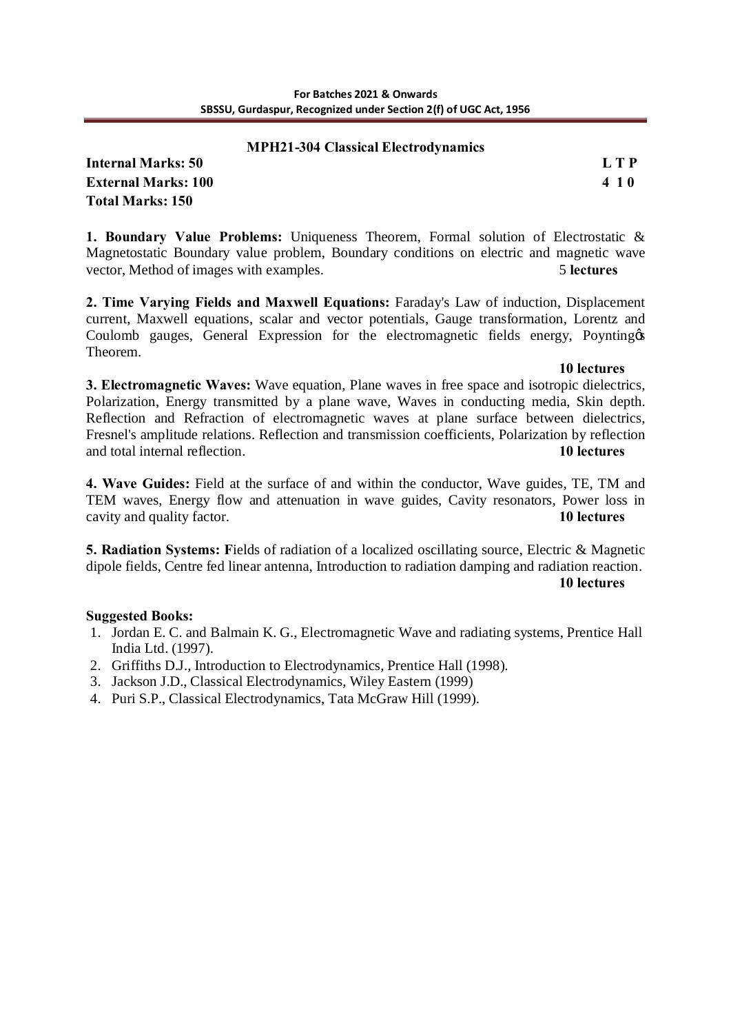#### **MPH21-304 Classical Electrodynamics**

**Internal Marks: 50 L T P External Marks: 100 4 1 0 Total Marks: 150**

**1. Boundary Value Problems:** Uniqueness Theorem, Formal solution of Electrostatic & Magnetostatic Boundary value problem, Boundary conditions on electric and magnetic wave vector, Method of images with examples. 5 **lectures** 

**2. Time Varying Fields and Maxwell Equations:** Faraday's Law of induction, Displacement current, Maxwell equations, scalar and vector potentials, Gauge transformation, Lorentz and Coulomb gauges, General Expression for the electromagnetic fields energy, Poynting of Theorem.

#### **10 lectures**

**3. Electromagnetic Waves:** Wave equation, Plane waves in free space and isotropic dielectrics, Polarization, Energy transmitted by a plane wave, Waves in conducting media, Skin depth. Reflection and Refraction of electromagnetic waves at plane surface between dielectrics, Fresnel's amplitude relations. Reflection and transmission coefficients, Polarization by reflection and total internal reflection. **10 lectures** 

**4. Wave Guides:** Field at the surface of and within the conductor, Wave guides, TE, TM and TEM waves, Energy flow and attenuation in wave guides, Cavity resonators, Power loss in cavity and quality factor. **10 lectures** 

**5. Radiation Systems: F**ields of radiation of a localized oscillating source, Electric & Magnetic dipole fields, Centre fed linear antenna, Introduction to radiation damping and radiation reaction. **10 lectures** 

# **Suggested Books:**

- 1. Jordan E. C. and Balmain K. G., Electromagnetic Wave and radiating systems, Prentice Hall India Ltd. (1997).
- 2. Griffiths D.J., Introduction to Electrodynamics, Prentice Hall (1998).
- 3. Jackson J.D., Classical Electrodynamics, Wiley Eastern (1999)
- 4. Puri S.P., Classical Electrodynamics, Tata McGraw Hill (1999).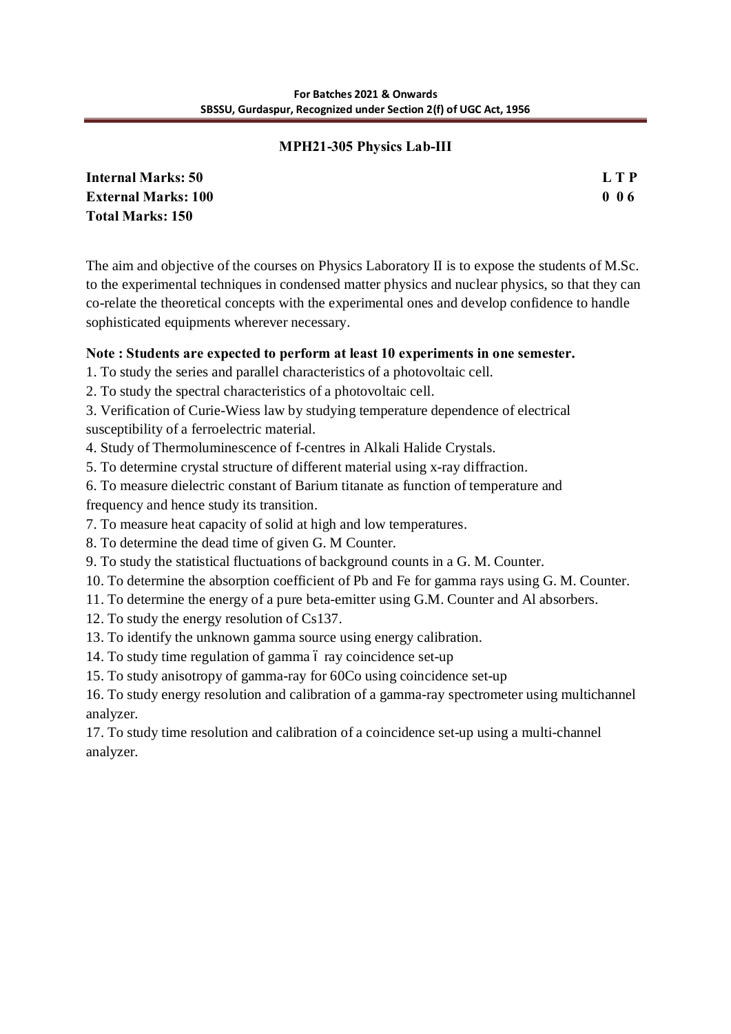# **MPH21-305 Physics Lab-III**

| <b>Internal Marks: 50</b>  | L T P |
|----------------------------|-------|
| <b>External Marks: 100</b> | 006   |
| <b>Total Marks: 150</b>    |       |

The aim and objective of the courses on Physics Laboratory II is to expose the students of M.Sc. to the experimental techniques in condensed matter physics and nuclear physics, so that they can co-relate the theoretical concepts with the experimental ones and develop confidence to handle sophisticated equipments wherever necessary.

# **Note : Students are expected to perform at least 10 experiments in one semester.**

1. To study the series and parallel characteristics of a photovoltaic cell.

2. To study the spectral characteristics of a photovoltaic cell.

- 3. Verification of Curie-Wiess law by studying temperature dependence of electrical susceptibility of a ferroelectric material.
- 4. Study of Thermoluminescence of f-centres in Alkali Halide Crystals.
- 5. To determine crystal structure of different material using x-ray diffraction.
- 6. To measure dielectric constant of Barium titanate as function of temperature and frequency and hence study its transition.
- 7. To measure heat capacity of solid at high and low temperatures.
- 8. To determine the dead time of given G. M Counter.
- 9. To study the statistical fluctuations of background counts in a G. M. Counter.
- 10. To determine the absorption coefficient of Pb and Fe for gamma rays using G. M. Counter.
- 11. To determine the energy of a pure beta-emitter using G.M. Counter and Al absorbers.
- 12. To study the energy resolution of Cs137.
- 13. To identify the unknown gamma source using energy calibration.
- 14. To study time regulation of gamma 6 ray coincidence set-up
- 15. To study anisotropy of gamma-ray for 60Co using coincidence set-up

16. To study energy resolution and calibration of a gamma-ray spectrometer using multichannel analyzer.

17. To study time resolution and calibration of a coincidence set-up using a multi-channel analyzer.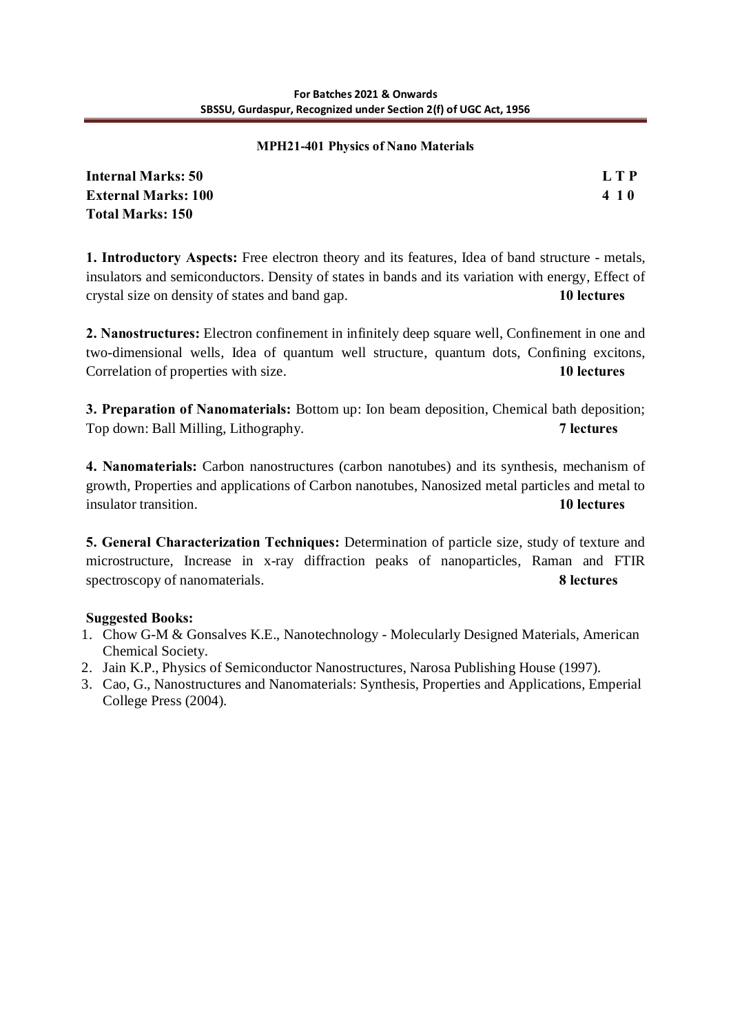#### **MPH21-401 Physics of Nano Materials**

| <b>Internal Marks: 50</b>  | L T P |
|----------------------------|-------|
| <b>External Marks: 100</b> | 410   |
| Total Marks: 150           |       |

**1. Introductory Aspects:** Free electron theory and its features, Idea of band structure - metals, insulators and semiconductors. Density of states in bands and its variation with energy, Effect of crystal size on density of states and band gap. **10 lectures** 

**2. Nanostructures:** Electron confinement in infinitely deep square well, Confinement in one and two-dimensional wells, Idea of quantum well structure, quantum dots, Confining excitons, Correlation of properties with size. **10 lectures**

**3. Preparation of Nanomaterials:** Bottom up: Ion beam deposition, Chemical bath deposition; Top down: Ball Milling, Lithography. **7 lectures**

**4. Nanomaterials:** Carbon nanostructures (carbon nanotubes) and its synthesis, mechanism of growth, Properties and applications of Carbon nanotubes, Nanosized metal particles and metal to insulator transition. **10 lectures**

**5. General Characterization Techniques:** Determination of particle size, study of texture and microstructure, Increase in x-ray diffraction peaks of nanoparticles, Raman and FTIR spectroscopy of nanomaterials. **8 lectures** 

# **Suggested Books:**

- 1. Chow G-M & Gonsalves K.E., Nanotechnology Molecularly Designed Materials, American Chemical Society.
- 2. Jain K.P., Physics of Semiconductor Nanostructures, Narosa Publishing House (1997).
- 3. Cao, G., Nanostructures and Nanomaterials: Synthesis, Properties and Applications, Emperial College Press (2004).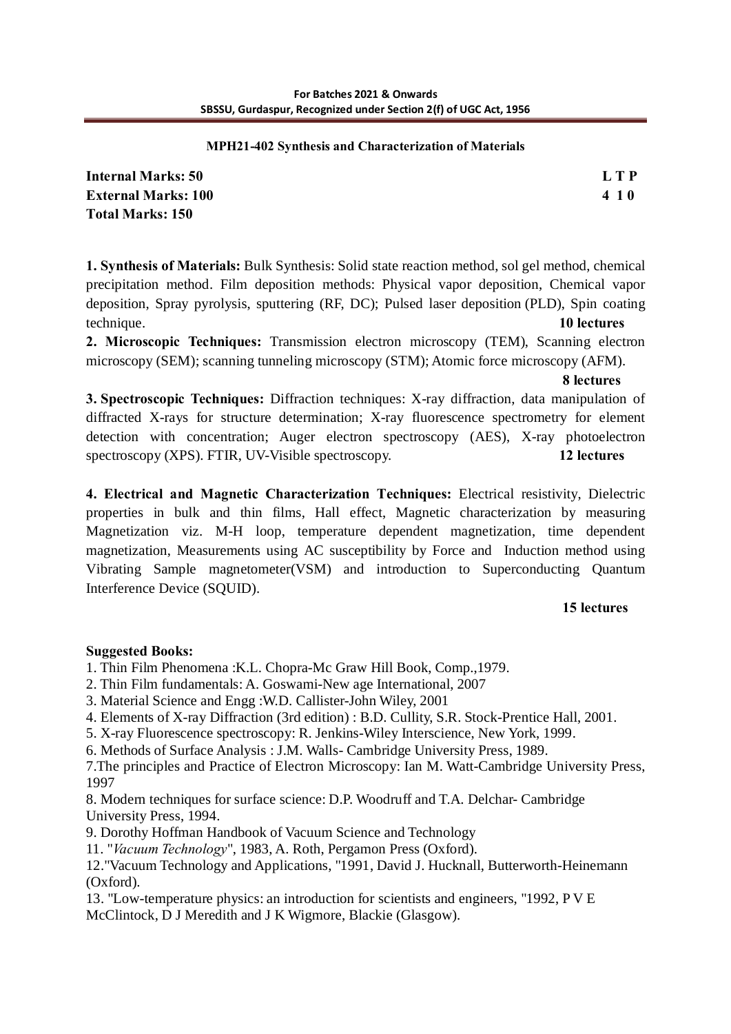#### **MPH21-402 Synthesis and Characterization of Materials**

**Internal Marks: 50 L T P External Marks: 100 4 1 0 Total Marks: 150**

**1. Synthesis of Materials:** Bulk Synthesis: Solid state reaction method, sol gel method, chemical precipitation method. Film deposition methods: Physical vapor deposition, Chemical vapor deposition, Spray pyrolysis, sputtering (RF, DC); Pulsed laser deposition (PLD), Spin coating technique. **10 lectures**

**2. Microscopic Techniques:** Transmission electron microscopy (TEM), Scanning electron microscopy (SEM); scanning tunneling microscopy (STM); Atomic force microscopy (AFM).

**8 lectures** 

**3. Spectroscopic Techniques:** Diffraction techniques: X-ray diffraction, data manipulation of diffracted X-rays for structure determination; X-ray fluorescence spectrometry for element detection with concentration; Auger electron spectroscopy (AES), X-ray photoelectron spectroscopy (XPS). FTIR, UV-Visible spectroscopy. **12 lectures**

**4. Electrical and Magnetic Characterization Techniques:** Electrical resistivity, Dielectric properties in bulk and thin films, Hall effect, Magnetic characterization by measuring Magnetization viz. M-H loop, temperature dependent magnetization, time dependent magnetization, Measurements using AC susceptibility by Force and Induction method using Vibrating Sample magnetometer(VSM) and introduction to Superconducting Quantum Interference Device (SQUID).

# **15 lectures**

# **Suggested Books:**

1. Thin Film Phenomena :K.L. Chopra-Mc Graw Hill Book, Comp.,1979.

2. Thin Film fundamentals: A. Goswami-New age International, 2007

3. Material Science and Engg :W.D. Callister-John Wiley, 2001

4. Elements of X-ray Diffraction (3rd edition) : B.D. Cullity, S.R. Stock-Prentice Hall, 2001.

5. X-ray Fluorescence spectroscopy: R. Jenkins-Wiley Interscience, New York, 1999.

6. Methods of Surface Analysis : J.M. Walls- Cambridge University Press, 1989.

7.The principles and Practice of Electron Microscopy: Ian M. Watt-Cambridge University Press, 1997

8. Modern techniques for surface science: D.P. Woodruff and T.A. Delchar- Cambridge University Press, 1994.

9. Dorothy Hoffman Handbook of Vacuum Science and Technology

11. "*Vacuum Technology*", 1983, A. Roth, Pergamon Press (Oxford).

12."Vacuum Technology and Applications, "1991, David J. Hucknall, Butterworth-Heinemann (Oxford).

13. "Low-temperature physics: an introduction for scientists and engineers, "1992, P V E McClintock, D J Meredith and J K Wigmore, Blackie (Glasgow).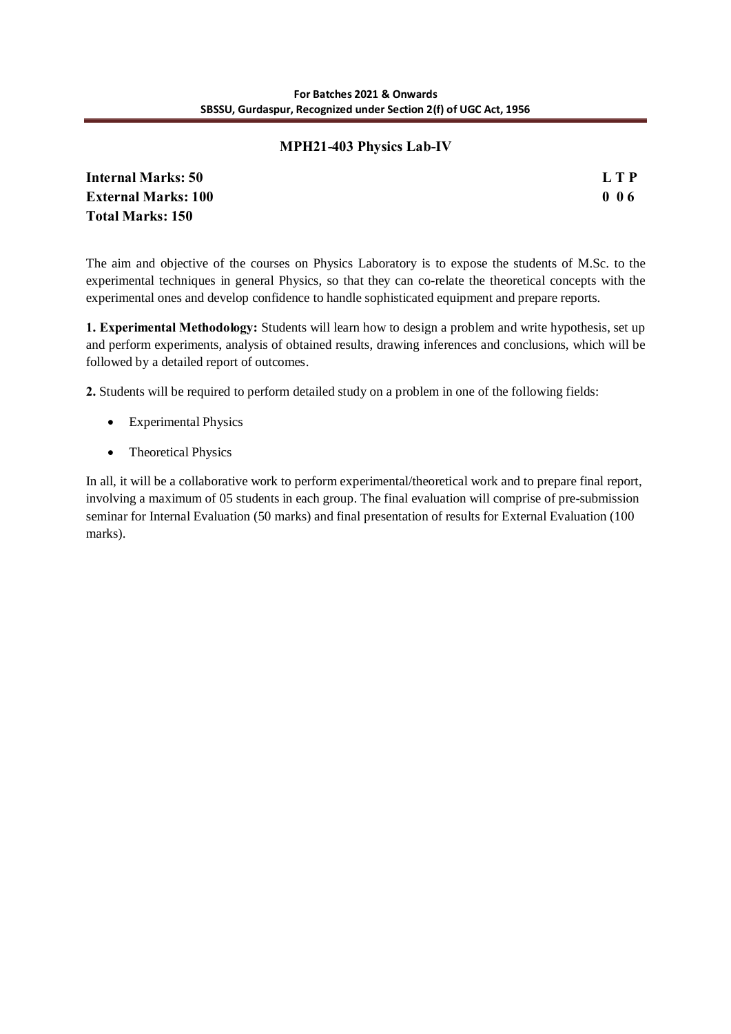# **MPH21-403 Physics Lab-IV**

**Internal Marks: 50 L T P External Marks: 100 0 0 6 Total Marks: 150**

The aim and objective of the courses on Physics Laboratory is to expose the students of M.Sc. to the experimental techniques in general Physics, so that they can co-relate the theoretical concepts with the experimental ones and develop confidence to handle sophisticated equipment and prepare reports.

**1. Experimental Methodology:** Students will learn how to design a problem and write hypothesis, set up and perform experiments, analysis of obtained results, drawing inferences and conclusions, which will be followed by a detailed report of outcomes.

**2.** Students will be required to perform detailed study on a problem in one of the following fields:

- · Experimental Physics
- Theoretical Physics

In all, it will be a collaborative work to perform experimental/theoretical work and to prepare final report, involving a maximum of 05 students in each group. The final evaluation will comprise of pre-submission seminar for Internal Evaluation (50 marks) and final presentation of results for External Evaluation (100 marks).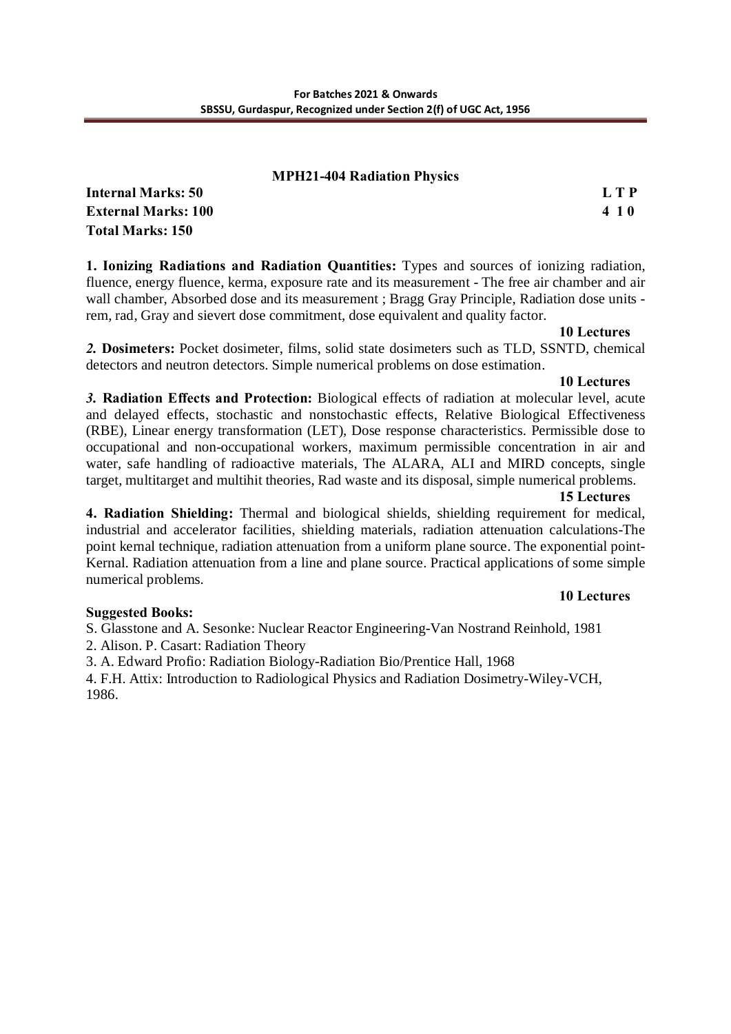## **MPH21-404 Radiation Physics**

| Internal Marks: 50         | L T P |
|----------------------------|-------|
| <b>External Marks: 100</b> | 410   |
| Total Marks: 150           |       |

**1. Ionizing Radiations and Radiation Quantities:** Types and sources of ionizing radiation, fluence, energy fluence, kerma, exposure rate and its measurement - The free air chamber and air wall chamber, Absorbed dose and its measurement ; Bragg Gray Principle, Radiation dose units rem, rad, Gray and sievert dose commitment, dose equivalent and quality factor.

#### **10 Lectures**

*2.* **Dosimeters:** Pocket dosimeter, films, solid state dosimeters such as TLD, SSNTD, chemical detectors and neutron detectors. Simple numerical problems on dose estimation.

#### **10 Lectures**

*3.* **Radiation Effects and Protection:** Biological effects of radiation at molecular level, acute and delayed effects, stochastic and nonstochastic effects, Relative Biological Effectiveness (RBE), Linear energy transformation (LET), Dose response characteristics. Permissible dose to occupational and non-occupational workers, maximum permissible concentration in air and water, safe handling of radioactive materials, The ALARA, ALI and MIRD concepts, single target, multitarget and multihit theories, Rad waste and its disposal, simple numerical problems.

#### **15 Lectures**

**4. Radiation Shielding:** Thermal and biological shields, shielding requirement for medical, industrial and accelerator facilities, shielding materials, radiation attenuation calculations-The point kernal technique, radiation attenuation from a uniform plane source. The exponential point-Kernal. Radiation attenuation from a line and plane source. Practical applications of some simple numerical problems.

# **10 Lectures**

# **Suggested Books:**

S. Glasstone and A. Sesonke: Nuclear Reactor Engineering-Van Nostrand Reinhold, 1981 2. Alison. P. Casart: Radiation Theory

3. A. Edward Profio: Radiation Biology-Radiation Bio/Prentice Hall, 1968

4. F.H. Attix: Introduction to Radiological Physics and Radiation Dosimetry-Wiley-VCH, 1986.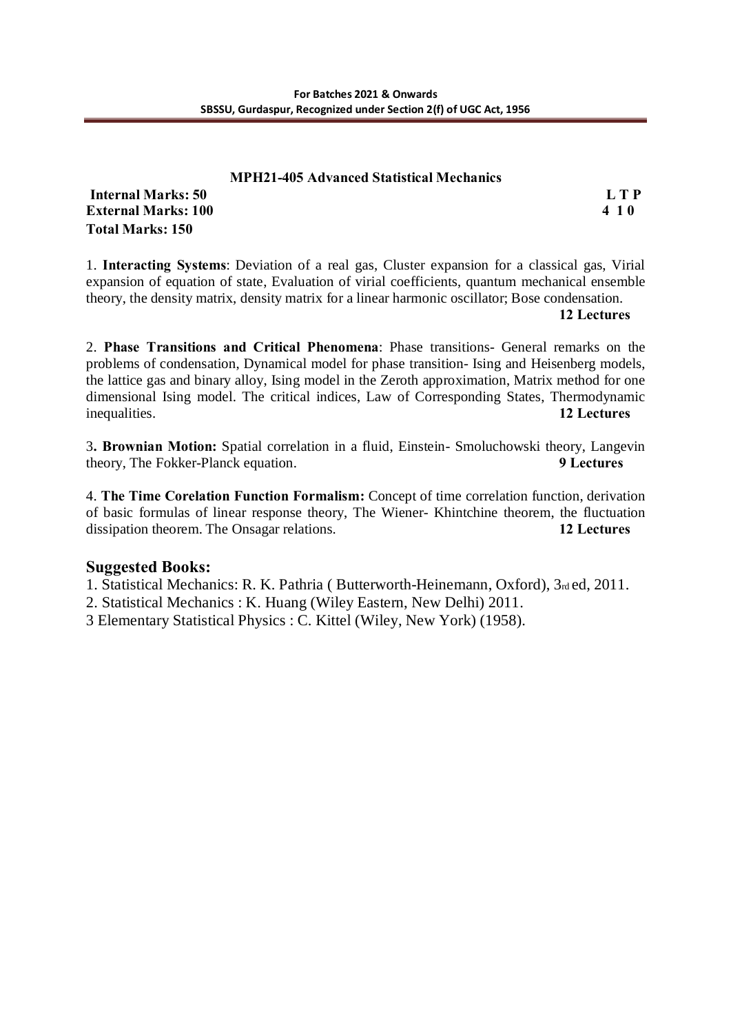#### **MPH21-405 Advanced Statistical Mechanics Internal Marks: 50 L T P**

**External Marks: 100 4 1 0 Total Marks: 150**

1. **Interacting Systems**: Deviation of a real gas, Cluster expansion for a classical gas, Virial expansion of equation of state, Evaluation of virial coefficients, quantum mechanical ensemble theory, the density matrix, density matrix for a linear harmonic oscillator; Bose condensation.

**12 Lectures**

2. **Phase Transitions and Critical Phenomena**: Phase transitions- General remarks on the problems of condensation, Dynamical model for phase transition- Ising and Heisenberg models, the lattice gas and binary alloy, Ising model in the Zeroth approximation, Matrix method for one dimensional Ising model. The critical indices, Law of Corresponding States, Thermodynamic inequalities. **12 Lectures**

3**. Brownian Motion:** Spatial correlation in a fluid, Einstein- Smoluchowski theory, Langevin theory, The Fokker-Planck equation. **9 Lectures**

4. **The Time Corelation Function Formalism:** Concept of time correlation function, derivation of basic formulas of linear response theory, The Wiener- Khintchine theorem, the fluctuation dissipation theorem. The Onsagar relations. **12 Lectures**

# **Suggested Books:**

1. Statistical Mechanics: R. K. Pathria ( Butterworth-Heinemann, Oxford), 3rd ed, 2011.

2. Statistical Mechanics : K. Huang (Wiley Eastern, New Delhi) 2011.

3 Elementary Statistical Physics : C. Kittel (Wiley, New York) (1958).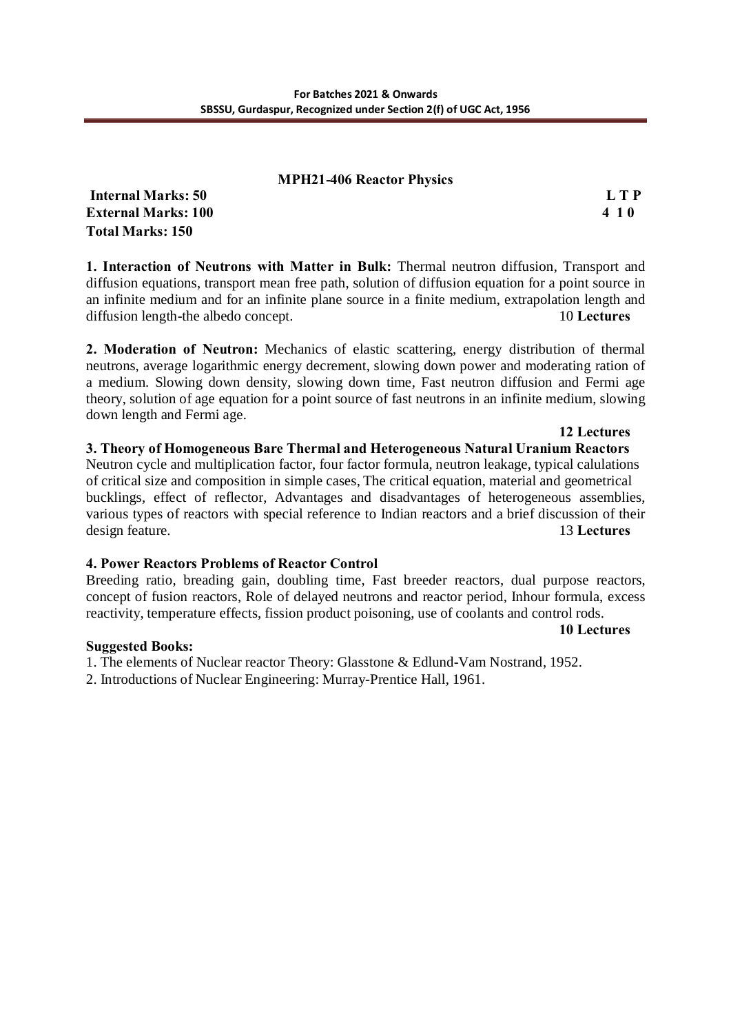#### **MPH21-406 Reactor Physics**

**Internal Marks: 50 L T P External Marks: 100 4 1 0 Total Marks: 150**

**1. Interaction of Neutrons with Matter in Bulk:** Thermal neutron diffusion, Transport and diffusion equations, transport mean free path, solution of diffusion equation for a point source in an infinite medium and for an infinite plane source in a finite medium, extrapolation length and diffusion length-the albedo concept. 10 **Lectures**

**2. Moderation of Neutron:** Mechanics of elastic scattering, energy distribution of thermal neutrons, average logarithmic energy decrement, slowing down power and moderating ration of a medium. Slowing down density, slowing down time, Fast neutron diffusion and Fermi age theory, solution of age equation for a point source of fast neutrons in an infinite medium, slowing down length and Fermi age.

**3. Theory of Homogeneous Bare Thermal and Heterogeneous Natural Uranium Reactors** Neutron cycle and multiplication factor, four factor formula, neutron leakage, typical calulations of critical size and composition in simple cases, The critical equation, material and geometrical bucklings, effect of reflector, Advantages and disadvantages of heterogeneous assemblies, various types of reactors with special reference to Indian reactors and a brief discussion of their design feature. 13 **Lectures**

# **4. Power Reactors Problems of Reactor Control**

Breeding ratio, breading gain, doubling time, Fast breeder reactors, dual purpose reactors, concept of fusion reactors, Role of delayed neutrons and reactor period, Inhour formula, excess reactivity, temperature effects, fission product poisoning, use of coolants and control rods.

# **Suggested Books:**

- 1. The elements of Nuclear reactor Theory: Glasstone & Edlund-Vam Nostrand, 1952.
- 2. Introductions of Nuclear Engineering: Murray-Prentice Hall, 1961.

# **12 Lectures**

## **10 Lectures**